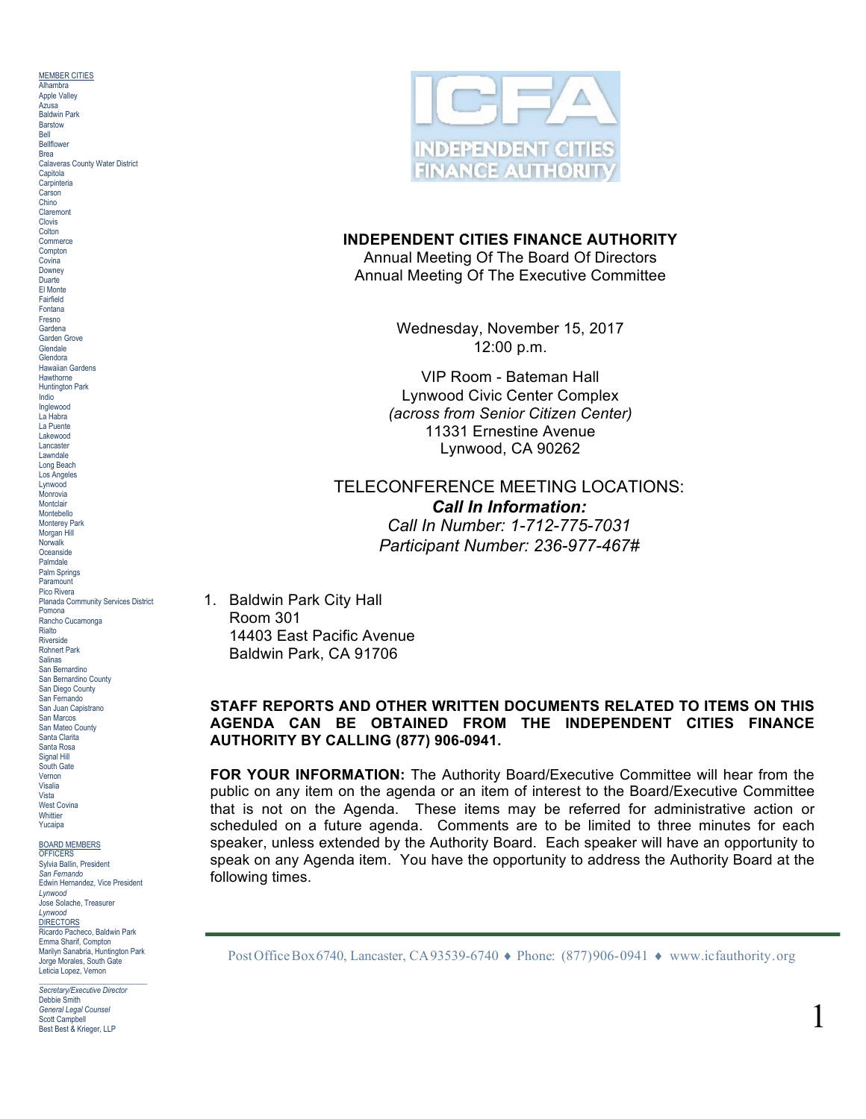MEMBER CITIES Alhambra Apple Valley Azusa Baldwin Park Barstow Bell Bellflower Brea Calaveras County Water District **Capitola Carpinteria** Carson Chino Claremont Clovis **Colton Commerce Compton Covina** Downey Duarte El Monte Fairfield Fontana Fresno Gardena Garden Grove Glendale Glendora Hawaiian Gardens Hawthorne Huntington Park Indio Inglewood La Habra La Puente Lakewood Lancaster Lawndale Long Beach Los Angeles Lynwood Monrovia Montclair Montebello Monterey Park Morgan Hill Norwalk **Oceanside** Palmdale Palm Springs **Paramount** Pico Rivera Planada Community Services District Pomona Rancho Cucamonga Rialto Riverside Rohnert Park Salinas San Bernardino San Bernardino County San Diego County San Fernando San Juan Capistrano San Marcos San Mateo County Santa Clarita Santa Rosa Signal Hill South Gate Vernon Visalia Vista West Covina Whittier Yucaipa

# BOARD MEMBERS OFFICERS

Sylvia Ballin, President *San Fernando* Edwin Hernandez, Vice President *Lynwood* Jose Solache, Treasurer *Lynwood* **DIRECTORS** Ricardo Pacheco, Baldwin Park Emma Sharif, Compton Marilyn Sanabria, Huntington Park Jorge Morales, South Gate Leticia Lopez, Vernon

\_\_\_\_\_\_\_\_\_\_\_\_\_\_\_\_\_\_\_\_\_\_\_\_\_\_\_\_ *Secretary/Executive Director* Debbie Smith *General Legal Counsel* Scott Campbell Best Best & Krieger, LLP



### **INDEPENDENT CITIES FINANCE AUTHORITY**

Annual Meeting Of The Board Of Directors Annual Meeting Of The Executive Committee

> Wednesday, November 15, 2017 12:00 p.m.

VIP Room - Bateman Hall Lynwood Civic Center Complex *(across from Senior Citizen Center)* 11331 Ernestine Avenue Lynwood, CA 90262

# TELECONFERENCE MEETING LOCATIONS: *Call In Information: Call In Number: 1-712-775-7031 Participant Number: 236-977-467#*

1. Baldwin Park City Hall Room 301 14403 East Pacific Avenue Baldwin Park, CA 91706

### **STAFF REPORTS AND OTHER WRITTEN DOCUMENTS RELATED TO ITEMS ON THIS AGENDA CAN BE OBTAINED FROM THE INDEPENDENT CITIES FINANCE AUTHORITY BY CALLING (877) 906-0941.**

**FOR YOUR INFORMATION:** The Authority Board/Executive Committee will hear from the public on any item on the agenda or an item of interest to the Board/Executive Committee that is not on the Agenda. These items may be referred for administrative action or scheduled on a future agenda. Comments are to be limited to three minutes for each speaker, unless extended by the Authority Board. Each speaker will have an opportunity to speak on any Agenda item. You have the opportunity to address the Authority Board at the following times.

Post Office Box 6740, Lancaster, CA 93539-6740 ♦ Phone: (877)906-0941 ♦ www.icfauthority.org

1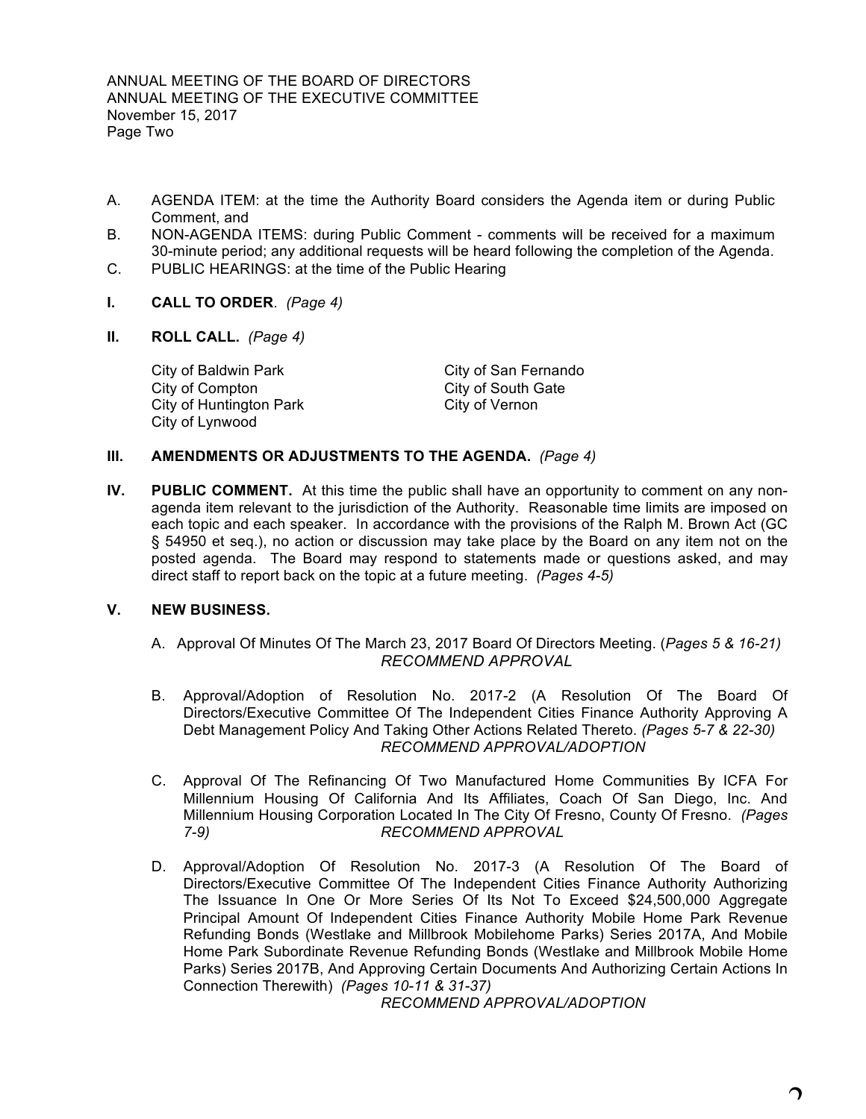- A. AGENDA ITEM: at the time the Authority Board considers the Agenda item or during Public Comment, and
- B. NON-AGENDA ITEMS: during Public Comment comments will be received for a maximum 30-minute period; any additional requests will be heard following the completion of the Agenda.
- C. PUBLIC HEARINGS: at the time of the Public Hearing
- **I. CALL TO ORDER**. *(Page 4)*
- **II. ROLL CALL.** *(Page 4)*

City of Baldwin Park City of San Fernando City of Compton City of South Gate City of Huntington Park City of Vernon City of Lynwood

# **III. AMENDMENTS OR ADJUSTMENTS TO THE AGENDA.** *(Page 4)*

**IV. PUBLIC COMMENT.** At this time the public shall have an opportunity to comment on any nonagenda item relevant to the jurisdiction of the Authority. Reasonable time limits are imposed on each topic and each speaker. In accordance with the provisions of the Ralph M. Brown Act (GC § 54950 et seq.), no action or discussion may take place by the Board on any item not on the posted agenda. The Board may respond to statements made or questions asked, and may direct staff to report back on the topic at a future meeting. *(Pages 4-5)*

### **V. NEW BUSINESS.**

- A. Approval Of Minutes Of The March 23, 2017 Board Of Directors Meeting. (*Pages 5 & 16-21) RECOMMEND APPROVAL*
- B. Approval/Adoption of Resolution No. 2017-2 (A Resolution Of The Board Of Directors/Executive Committee Of The Independent Cities Finance Authority Approving A Debt Management Policy And Taking Other Actions Related Thereto. *(Pages 5-7 & 22-30) RECOMMEND APPROVAL/ADOPTION*
- C. Approval Of The Refinancing Of Two Manufactured Home Communities By ICFA For Millennium Housing Of California And Its Affiliates, Coach Of San Diego, Inc. And Millennium Housing Corporation Located In The City Of Fresno, County Of Fresno. *(Pages 7-9) RECOMMEND APPROVAL*
- D. Approval/Adoption Of Resolution No. 2017-3 (A Resolution Of The Board of Directors/Executive Committee Of The Independent Cities Finance Authority Authorizing The Issuance In One Or More Series Of Its Not To Exceed \$24,500,000 Aggregate Principal Amount Of Independent Cities Finance Authority Mobile Home Park Revenue Refunding Bonds (Westlake and Millbrook Mobilehome Parks) Series 2017A, And Mobile Home Park Subordinate Revenue Refunding Bonds (Westlake and Millbrook Mobile Home Parks) Series 2017B, And Approving Certain Documents And Authorizing Certain Actions In Connection Therewith) *(Pages 10-11 & 31-37)*

*RECOMMEND APPROVAL/ADOPTION*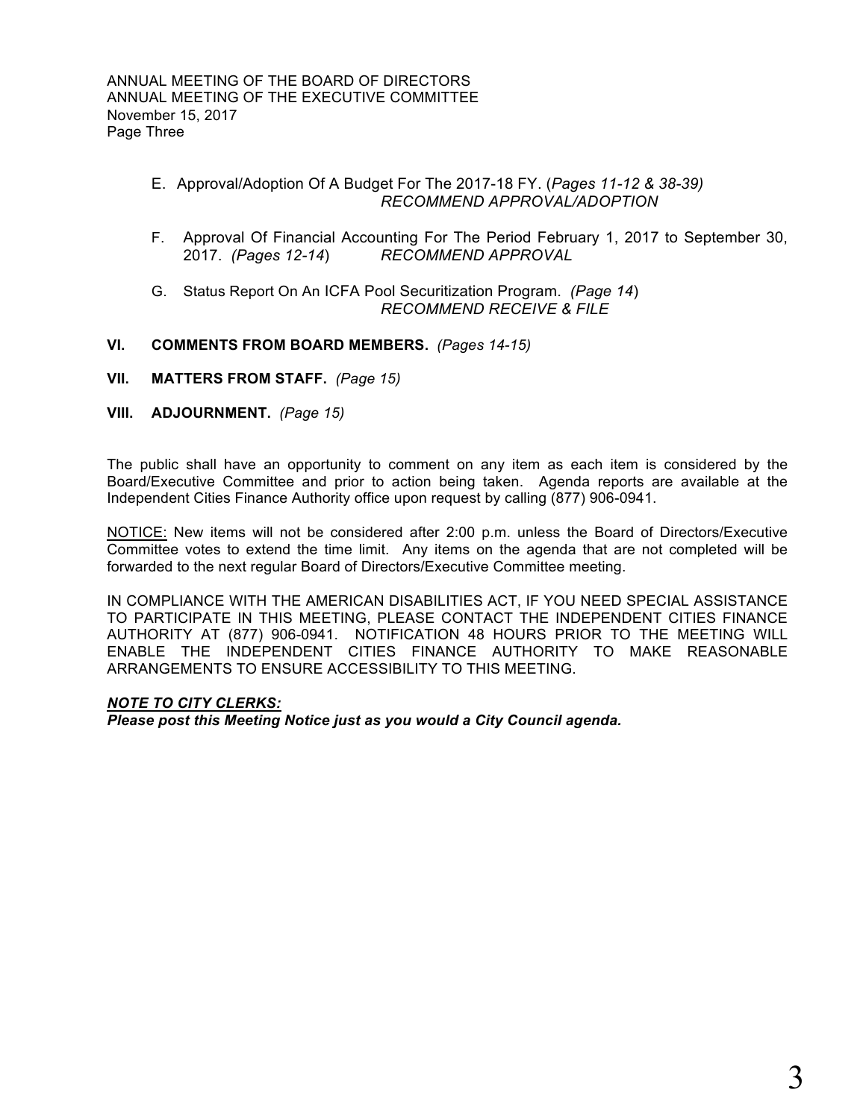- E. Approval/Adoption Of A Budget For The 2017-18 FY. (*Pages 11-12 & 38-39) RECOMMEND APPROVAL/ADOPTION*
- F. Approval Of Financial Accounting For The Period February 1, 2017 to September 30, 2017. *(Pages 12-14*) *RECOMMEND APPROVAL*
- G. Status Report On An ICFA Pool Securitization Program. *(Page 14*) *RECOMMEND RECEIVE & FILE*

# **VI. COMMENTS FROM BOARD MEMBERS.** *(Pages 14-15)*

- **VII. MATTERS FROM STAFF.** *(Page 15)*
- **VIII. ADJOURNMENT.** *(Page 15)*

The public shall have an opportunity to comment on any item as each item is considered by the Board/Executive Committee and prior to action being taken. Agenda reports are available at the Independent Cities Finance Authority office upon request by calling (877) 906-0941.

NOTICE: New items will not be considered after 2:00 p.m. unless the Board of Directors/Executive Committee votes to extend the time limit. Any items on the agenda that are not completed will be forwarded to the next regular Board of Directors/Executive Committee meeting.

IN COMPLIANCE WITH THE AMERICAN DISABILITIES ACT, IF YOU NEED SPECIAL ASSISTANCE TO PARTICIPATE IN THIS MEETING, PLEASE CONTACT THE INDEPENDENT CITIES FINANCE AUTHORITY AT (877) 906-0941. NOTIFICATION 48 HOURS PRIOR TO THE MEETING WILL ENABLE THE INDEPENDENT CITIES FINANCE AUTHORITY TO MAKE REASONABLE ARRANGEMENTS TO ENSURE ACCESSIBILITY TO THIS MEETING.

# *NOTE TO CITY CLERKS:*

*Please post this Meeting Notice just as you would a City Council agenda.*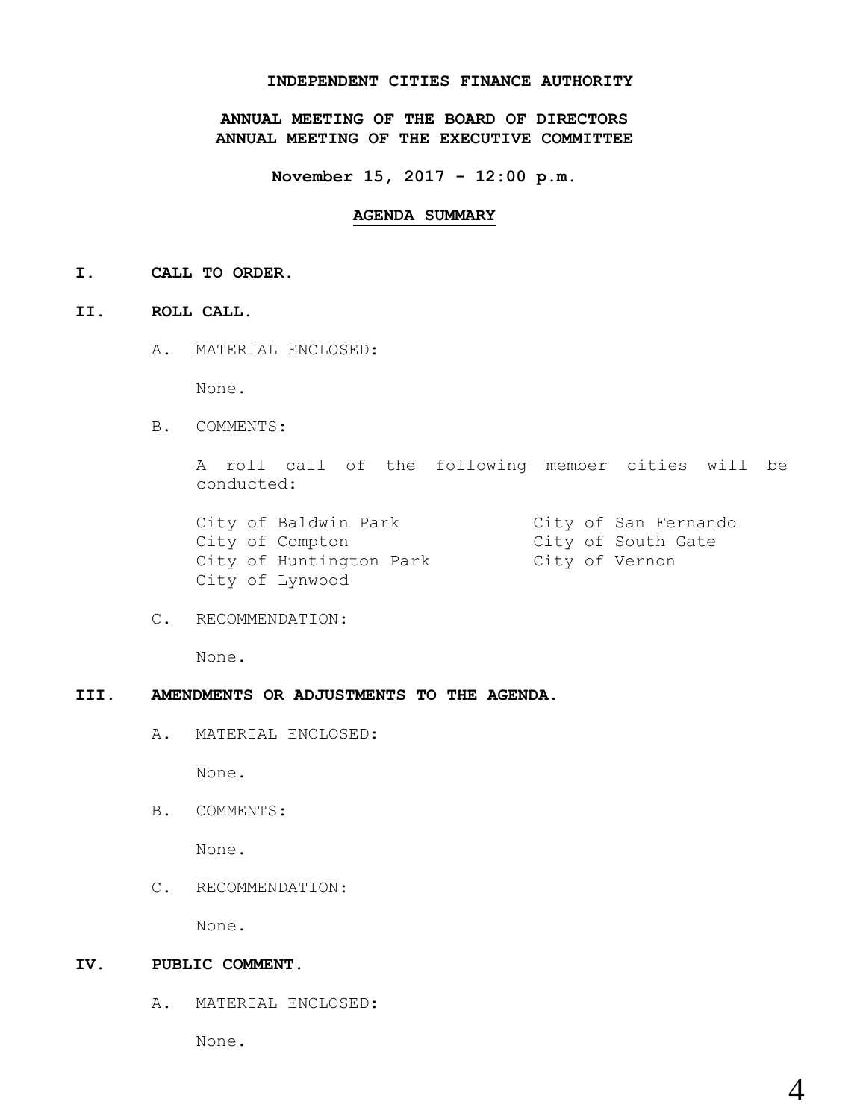### **INDEPENDENT CITIES FINANCE AUTHORITY**

**ANNUAL MEETING OF THE BOARD OF DIRECTORS ANNUAL MEETING OF THE EXECUTIVE COMMITTEE**

**November 15, 2017 - 12:00 p.m.**

#### **AGENDA SUMMARY**

**I. CALL TO ORDER.**

### **II. ROLL CALL.**

A. MATERIAL ENCLOSED:

None.

B. COMMENTS:

A roll call of the following member cities will be conducted:

City of Baldwin Park City of San Fernando City of Compton City of South Gate City of Huntington Park City of Vernon City of Lynwood

C. RECOMMENDATION:

None.

### **III. AMENDMENTS OR ADJUSTMENTS TO THE AGENDA.**

A. MATERIAL ENCLOSED:

None.

B. COMMENTS:

None.

C. RECOMMENDATION:

None.

### **IV. PUBLIC COMMENT.**

A. MATERIAL ENCLOSED:

None.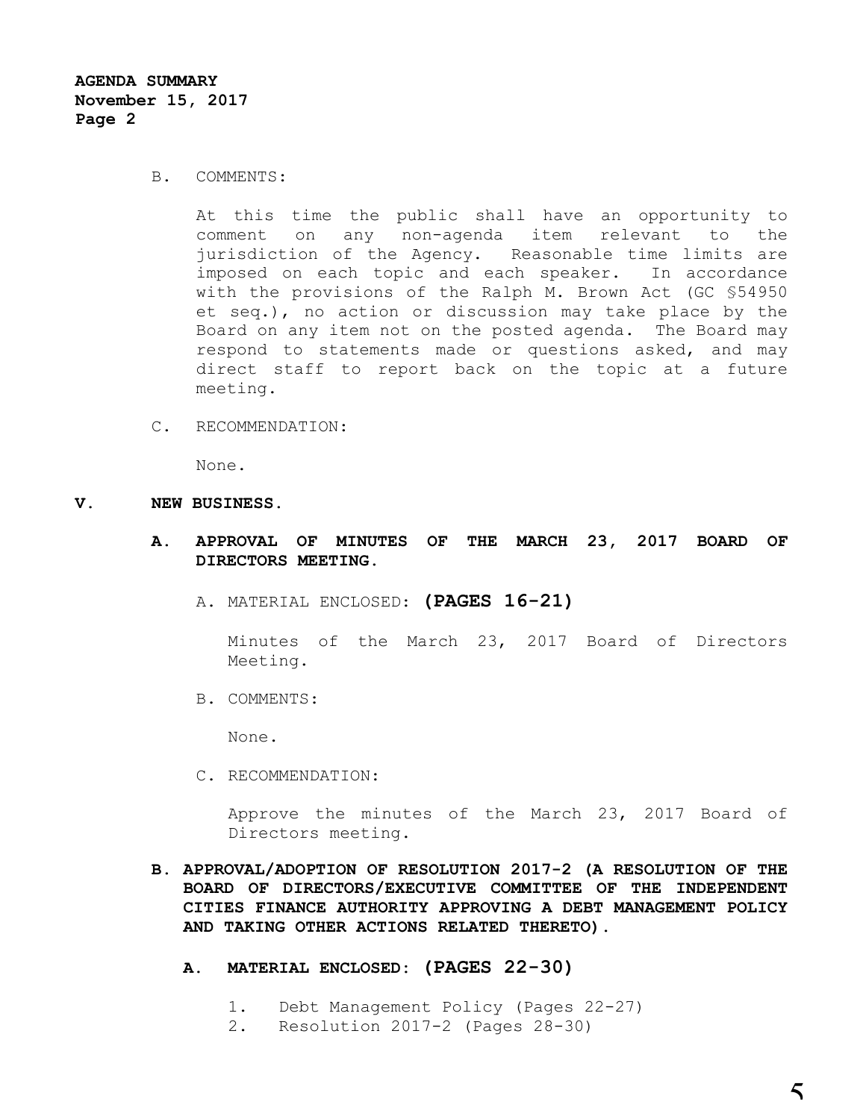#### B. COMMENTS:

At this time the public shall have an opportunity to comment on any non-agenda item relevant to the jurisdiction of the Agency. Reasonable time limits are imposed on each topic and each speaker. In accordance with the provisions of the Ralph M. Brown Act (GC §54950 et seq.), no action or discussion may take place by the Board on any item not on the posted agenda. The Board may respond to statements made or questions asked, and may direct staff to report back on the topic at a future meeting.

C. RECOMMENDATION:

None.

#### **V. NEW BUSINESS.**

- **A. APPROVAL OF MINUTES OF THE MARCH 23, 2017 BOARD OF DIRECTORS MEETING.**
	- A. MATERIAL ENCLOSED: **(PAGES 16-21)**

Minutes of the March 23, 2017 Board of Directors Meeting.

B. COMMENTS:

None.

C. RECOMMENDATION:

Approve the minutes of the March 23, 2017 Board of Directors meeting.

- **B. APPROVAL/ADOPTION OF RESOLUTION 2017-2 (A RESOLUTION OF THE BOARD OF DIRECTORS/EXECUTIVE COMMITTEE OF THE INDEPENDENT CITIES FINANCE AUTHORITY APPROVING A DEBT MANAGEMENT POLICY AND TAKING OTHER ACTIONS RELATED THERETO).**
	- **A. MATERIAL ENCLOSED: (PAGES 22-30)**
		- 1. Debt Management Policy (Pages 22-27)
		- 2. Resolution 2017-2 (Pages 28-30)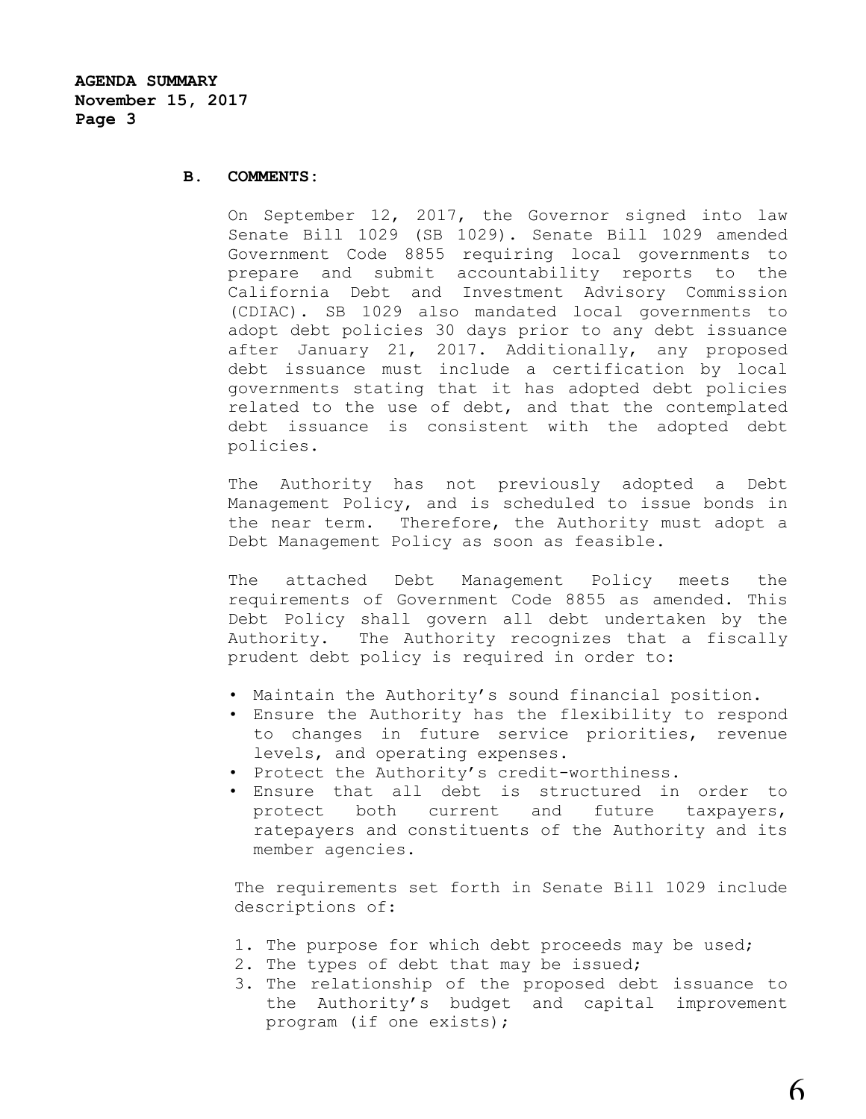#### **B. COMMENTS:**

On September 12, 2017, the Governor signed into law Senate Bill 1029 (SB 1029). Senate Bill 1029 amended Government Code 8855 requiring local governments to prepare and submit accountability reports to the California Debt and Investment Advisory Commission (CDIAC). SB 1029 also mandated local governments to adopt debt policies 30 days prior to any debt issuance after January 21, 2017. Additionally, any proposed debt issuance must include a certification by local governments stating that it has adopted debt policies related to the use of debt, and that the contemplated debt issuance is consistent with the adopted debt policies.

The Authority has not previously adopted a Debt Management Policy, and is scheduled to issue bonds in the near term. Therefore, the Authority must adopt a Debt Management Policy as soon as feasible.

The attached Debt Management Policy meets the requirements of Government Code 8855 as amended. This Debt Policy shall govern all debt undertaken by the Authority. The Authority recognizes that a fiscally prudent debt policy is required in order to:

- Maintain the Authority's sound financial position.
- Ensure the Authority has the flexibility to respond to changes in future service priorities, revenue levels, and operating expenses.
- Protect the Authority's credit-worthiness.
- Ensure that all debt is structured in order to protect both current and future taxpayers, ratepayers and constituents of the Authority and its member agencies.

The requirements set forth in Senate Bill 1029 include descriptions of:

- 1. The purpose for which debt proceeds may be used;
- 2. The types of debt that may be issued;
- 3. The relationship of the proposed debt issuance to the Authority's budget and capital improvement program (if one exists);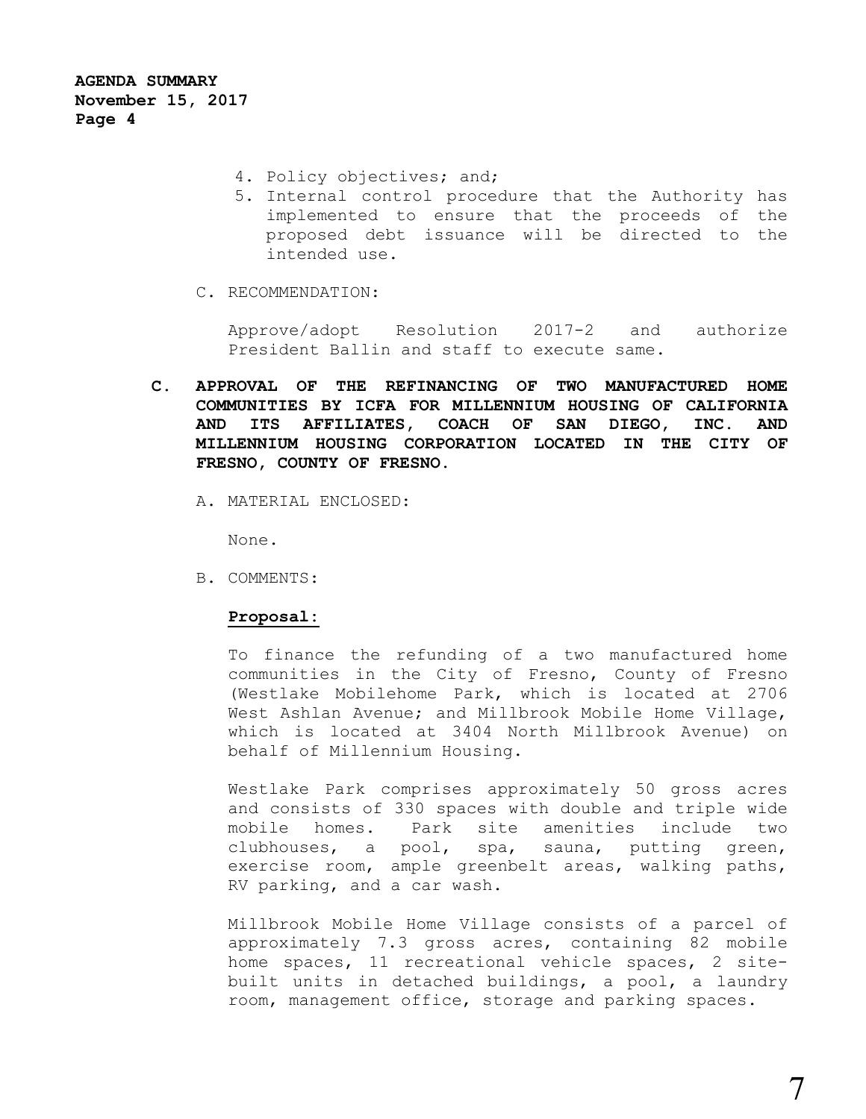- 4. Policy objectives; and;
- 5. Internal control procedure that the Authority has implemented to ensure that the proceeds of the proposed debt issuance will be directed to the intended use.
- C. RECOMMENDATION:

Approve/adopt Resolution 2017-2 and authorize President Ballin and staff to execute same.

- **C. APPROVAL OF THE REFINANCING OF TWO MANUFACTURED HOME COMMUNITIES BY ICFA FOR MILLENNIUM HOUSING OF CALIFORNIA AND ITS AFFILIATES, COACH OF SAN DIEGO, INC. AND MILLENNIUM HOUSING CORPORATION LOCATED IN THE CITY OF FRESNO, COUNTY OF FRESNO.**
	- A. MATERIAL ENCLOSED:

None.

B. COMMENTS:

#### **Proposal:**

To finance the refunding of a two manufactured home communities in the City of Fresno, County of Fresno (Westlake Mobilehome Park, which is located at 2706 West Ashlan Avenue; and Millbrook Mobile Home Village, which is located at 3404 North Millbrook Avenue) on behalf of Millennium Housing.

Westlake Park comprises approximately 50 gross acres and consists of 330 spaces with double and triple wide mobile homes. Park site amenities include two clubhouses, a pool, spa, sauna, putting green, exercise room, ample greenbelt areas, walking paths, RV parking, and a car wash.

Millbrook Mobile Home Village consists of a parcel of approximately 7.3 gross acres, containing 82 mobile home spaces, 11 recreational vehicle spaces, 2 sitebuilt units in detached buildings, a pool, a laundry room, management office, storage and parking spaces.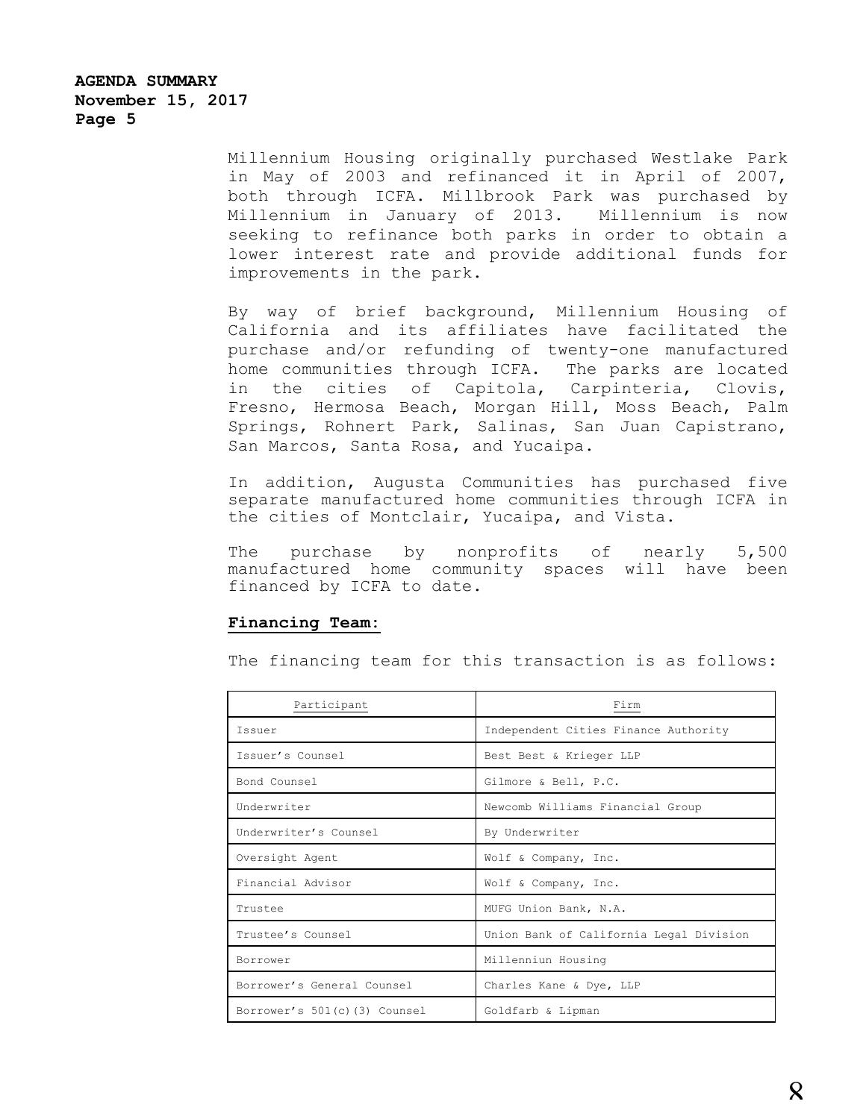Millennium Housing originally purchased Westlake Park in May of 2003 and refinanced it in April of 2007, both through ICFA. Millbrook Park was purchased by Millennium in January of 2013. Millennium is now seeking to refinance both parks in order to obtain a lower interest rate and provide additional funds for improvements in the park.

By way of brief background, Millennium Housing of California and its affiliates have facilitated the purchase and/or refunding of twenty-one manufactured home communities through ICFA. The parks are located in the cities of Capitola, Carpinteria, Clovis, Fresno, Hermosa Beach, Morgan Hill, Moss Beach, Palm Springs, Rohnert Park, Salinas, San Juan Capistrano, San Marcos, Santa Rosa, and Yucaipa.

In addition, Augusta Communities has purchased five separate manufactured home communities through ICFA in the cities of Montclair, Yucaipa, and Vista.

The purchase by nonprofits of nearly 5,500 manufactured home community spaces will have been financed by ICFA to date.

### **Financing Team:**

The financing team for this transaction is as follows:

| Participant                  | Firm                                    |
|------------------------------|-----------------------------------------|
| Issuer                       | Independent Cities Finance Authority    |
| Issuer's Counsel             | Best Best & Krieger LLP                 |
| Bond Counsel                 | Gilmore & Bell, P.C.                    |
| Underwriter                  | Newcomb Williams Financial Group        |
| Underwriter's Counsel        | By Underwriter                          |
| Oversight Agent              | Wolf & Company, Inc.                    |
| Financial Advisor            | Wolf & Company, Inc.                    |
| Trustee                      | MUFG Union Bank, N.A.                   |
| Trustee's Counsel            | Union Bank of California Legal Division |
| Borrower                     | Millenniun Housing                      |
| Borrower's General Counsel   | Charles Kane & Dye, LLP                 |
| Borrower's 501(c)(3) Counsel | Goldfarb & Lipman                       |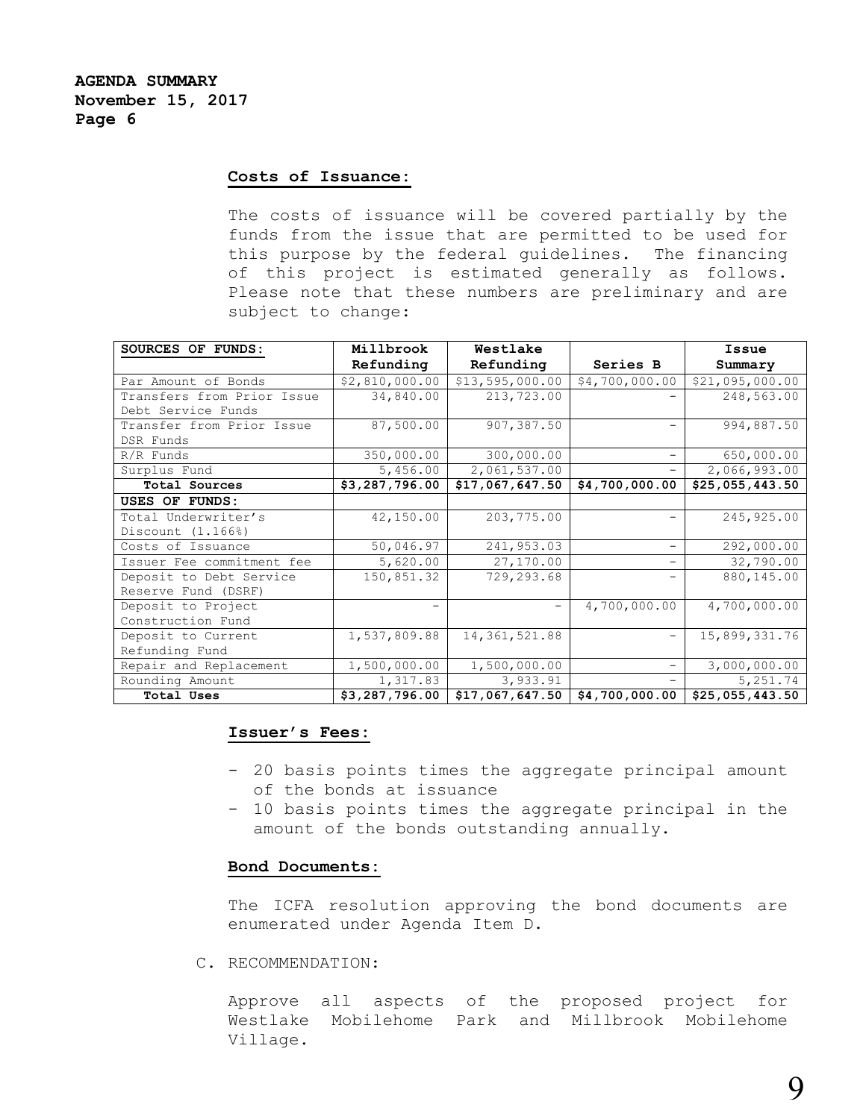# **Costs of Issuance:**

The costs of issuance will be covered partially by the funds from the issue that are permitted to be used for this purpose by the federal guidelines. The financing of this project is estimated generally as follows. Please note that these numbers are preliminary and are subject to change:

| SOURCES OF FUNDS:          | Millbrook      | Westlake        |                          | Issue                    |
|----------------------------|----------------|-----------------|--------------------------|--------------------------|
|                            | Refunding      | Refunding       | Series B                 | Summary                  |
| Par Amount of Bonds        | \$2,810,000.00 | \$13,595,000.00 | \$4,700,000.00           | \$21,095,000.00          |
| Transfers from Prior Issue | 34,840.00      | 213,723.00      |                          | 248,563.00               |
| Debt Service Funds         |                |                 |                          |                          |
| Transfer from Prior Issue  | 87,500.00      | 907,387.50      | $\overline{\phantom{0}}$ | 994,887.50               |
| DSR Funds                  |                |                 |                          |                          |
| $R/R$ Funds                | 350,000.00     | 300,000.00      | $\qquad \qquad -$        | 650,000.00               |
| Surplus Fund               | 5,456.00       | 2,061,537.00    | $\qquad \qquad -$        | 2,066,993.00             |
| Total Sources              | \$3,287,796.00 | \$17,067,647.50 | \$4,700,000.00           | \$25,055,443.50          |
| USES OF FUNDS:             |                |                 |                          |                          |
| Total Underwriter's        | 42,150.00      | 203,775.00      |                          | 245,925.00               |
| Discount (1.166%)          |                |                 |                          |                          |
| Costs of Issuance          | 50,046.97      | 241,953.03      | $\overline{\phantom{m}}$ | 292,000.00               |
| Issuer Fee commitment fee  | 5,620.00       | 27,170.00       | $\overline{\phantom{0}}$ | $\overline{32}$ , 790.00 |
| Deposit to Debt Service    | 150,851.32     | 729,293.68      |                          | 880,145.00               |
| Reserve Fund (DSRF)        |                |                 |                          |                          |
| Deposit to Project         |                |                 | 4,700,000.00             | 4,700,000.00             |
| Construction Fund          |                |                 |                          |                          |
| Deposit to Current         | 1,537,809.88   | 14, 361, 521.88 |                          | 15,899,331.76            |
| Refunding Fund             |                |                 |                          |                          |
| Repair and Replacement     | 1,500,000.00   | 1,500,000.00    | $\overline{\phantom{0}}$ | 3,000,000.00             |
| Rounding Amount            | 1,317.83       | 3,933.91        | $\overline{\phantom{0}}$ | 5,251.74                 |
| Total Uses                 | \$3,287,796.00 | \$17,067,647.50 | \$4,700,000.00           | \$25,055,443.50          |

#### **Issuer's Fees:**

- 20 basis points times the aggregate principal amount of the bonds at issuance
- 10 basis points times the aggregate principal in the amount of the bonds outstanding annually.

### **Bond Documents:**

The ICFA resolution approving the bond documents are enumerated under Agenda Item D.

C. RECOMMENDATION:

Approve all aspects of the proposed project for Westlake Mobilehome Park and Millbrook Mobilehome Village.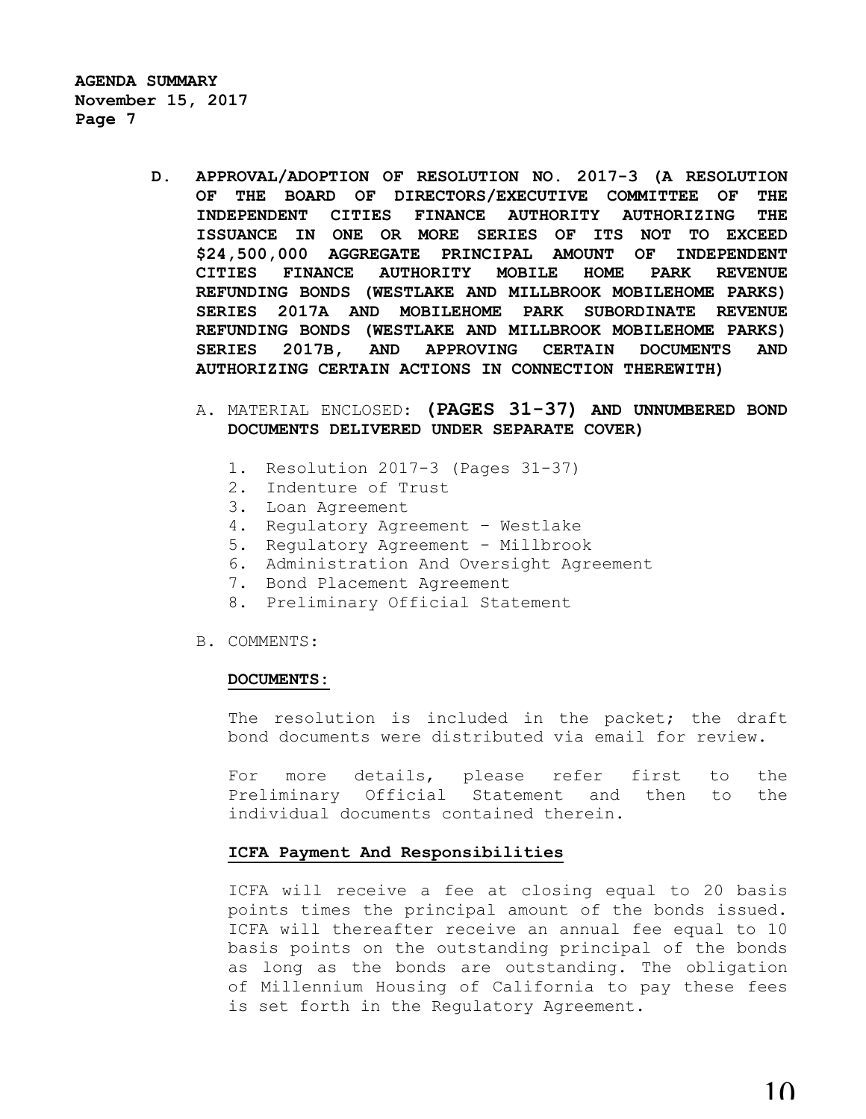- **D. APPROVAL/ADOPTION OF RESOLUTION NO. 2017-3 (A RESOLUTION OF THE BOARD OF DIRECTORS/EXECUTIVE COMMITTEE OF THE INDEPENDENT CITIES FINANCE AUTHORITY AUTHORIZING THE ISSUANCE IN ONE OR MORE SERIES OF ITS NOT TO EXCEED \$24,500,000 AGGREGATE PRINCIPAL AMOUNT OF INDEPENDENT CITIES FINANCE AUTHORITY MOBILE HOME PARK REVENUE REFUNDING BONDS (WESTLAKE AND MILLBROOK MOBILEHOME PARKS) SERIES 2017A AND MOBILEHOME PARK SUBORDINATE REVENUE REFUNDING BONDS (WESTLAKE AND MILLBROOK MOBILEHOME PARKS) SERIES 2017B, AND APPROVING CERTAIN DOCUMENTS AND AUTHORIZING CERTAIN ACTIONS IN CONNECTION THEREWITH)**
	- A. MATERIAL ENCLOSED: **(PAGES 31-37) AND UNNUMBERED BOND DOCUMENTS DELIVERED UNDER SEPARATE COVER)**
		- 1. Resolution 2017-3 (Pages 31-37)
		- 2. Indenture of Trust
		- 3. Loan Agreement
		- 4. Regulatory Agreement Westlake
		- 5. Regulatory Agreement Millbrook
		- 6. Administration And Oversight Agreement
		- 7. Bond Placement Agreement
		- 8. Preliminary Official Statement
	- B. COMMENTS:

#### **DOCUMENTS:**

The resolution is included in the packet; the draft bond documents were distributed via email for review.

For more details, please refer first to the Preliminary Official Statement and then to the individual documents contained therein.

#### **ICFA Payment And Responsibilities**

ICFA will receive a fee at closing equal to 20 basis points times the principal amount of the bonds issued. ICFA will thereafter receive an annual fee equal to 10 basis points on the outstanding principal of the bonds as long as the bonds are outstanding. The obligation of Millennium Housing of California to pay these fees is set forth in the Regulatory Agreement.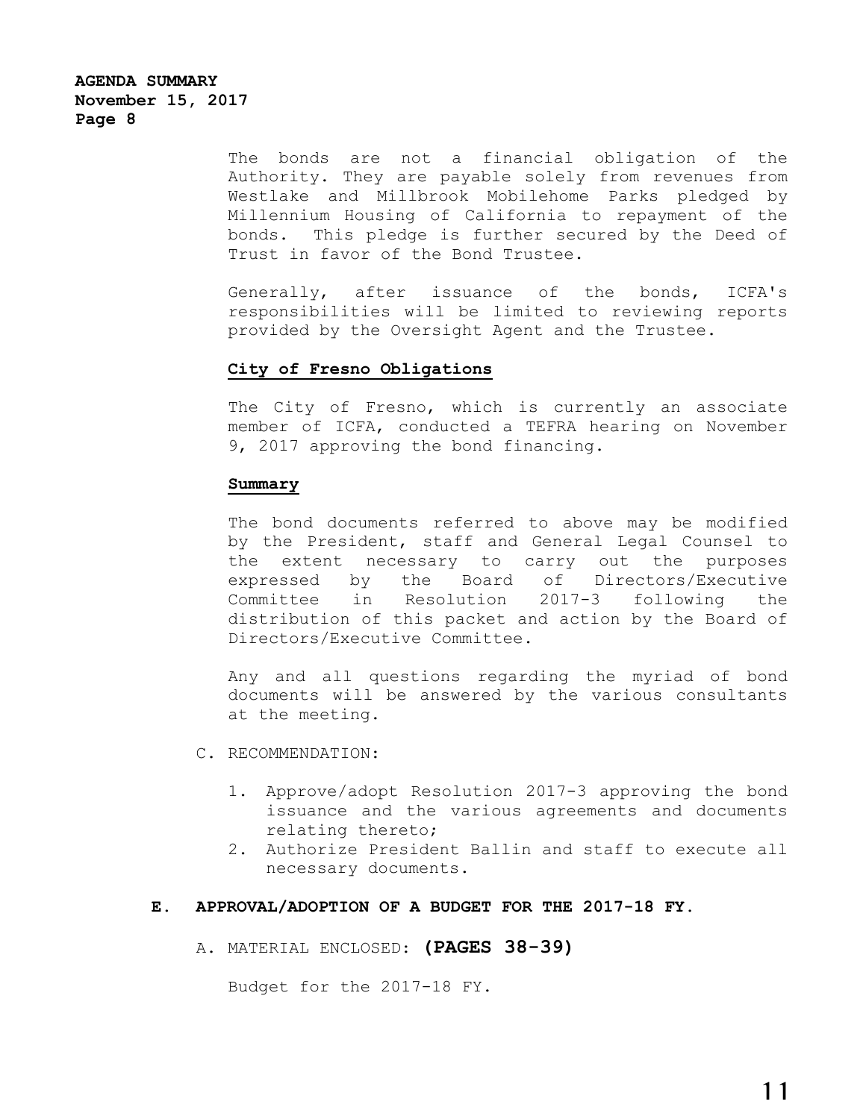The bonds are not a financial obligation of the Authority. They are payable solely from revenues from Westlake and Millbrook Mobilehome Parks pledged by Millennium Housing of California to repayment of the bonds. This pledge is further secured by the Deed of Trust in favor of the Bond Trustee.

Generally, after issuance of the bonds, ICFA's responsibilities will be limited to reviewing reports provided by the Oversight Agent and the Trustee.

### **City of Fresno Obligations**

The City of Fresno, which is currently an associate member of ICFA, conducted a TEFRA hearing on November 9, 2017 approving the bond financing.

#### **Summary**

The bond documents referred to above may be modified by the President, staff and General Legal Counsel to the extent necessary to carry out the purposes expressed by the Board of Directors/Executive Committee in Resolution 2017-3 following the distribution of this packet and action by the Board of Directors/Executive Committee.

Any and all questions regarding the myriad of bond documents will be answered by the various consultants at the meeting.

- C. RECOMMENDATION:
	- 1. Approve/adopt Resolution 2017-3 approving the bond issuance and the various agreements and documents relating thereto;
	- 2. Authorize President Ballin and staff to execute all necessary documents.

### **E. APPROVAL/ADOPTION OF A BUDGET FOR THE 2017-18 FY.**

A. MATERIAL ENCLOSED: **(PAGES 38-39)**

Budget for the 2017-18 FY.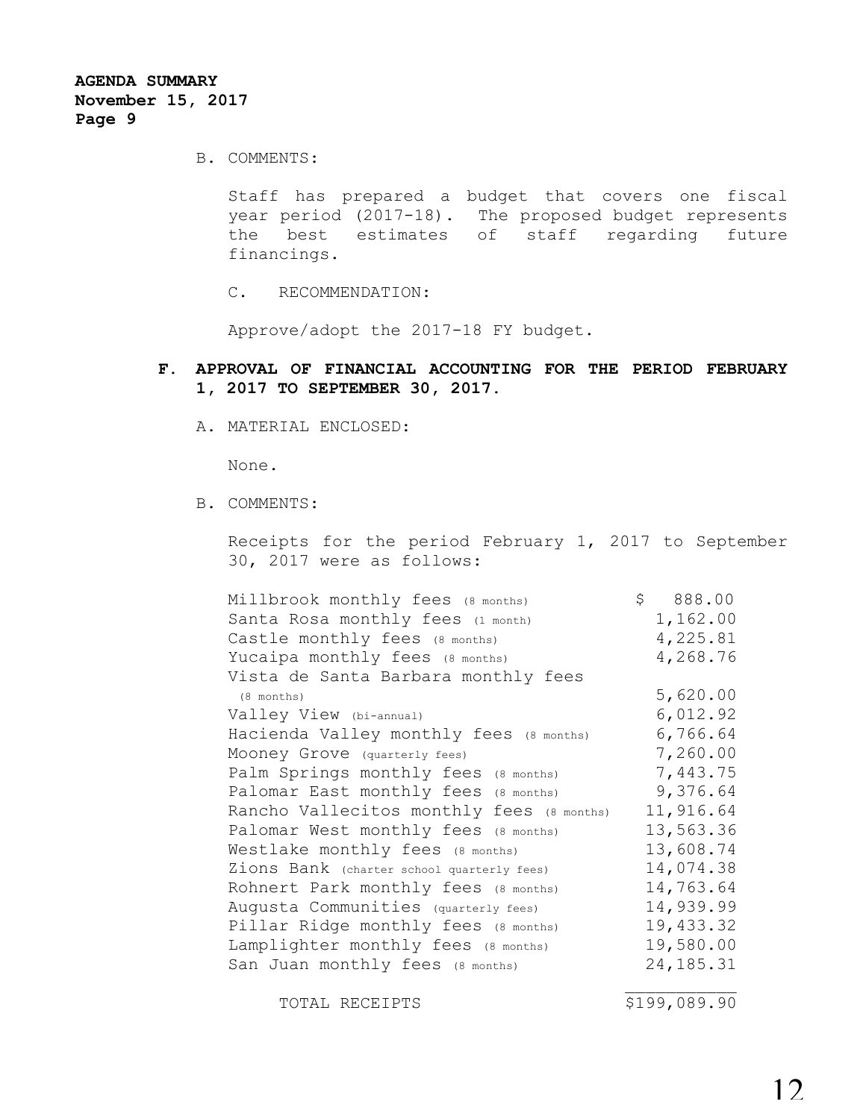B. COMMENTS:

Staff has prepared a budget that covers one fiscal year period (2017-18). The proposed budget represents the best estimates of staff regarding future financings.

C. RECOMMENDATION:

Approve/adopt the 2017-18 FY budget.

# **F. APPROVAL OF FINANCIAL ACCOUNTING FOR THE PERIOD FEBRUARY 1, 2017 TO SEPTEMBER 30, 2017.**

A. MATERIAL ENCLOSED:

None.

B. COMMENTS:

Receipts for the period February 1, 2017 to September 30, 2017 were as follows:

| Millbrook monthly fees (8 months)          | \$888.00  |
|--------------------------------------------|-----------|
| Santa Rosa monthly fees (1 month)          | 1,162.00  |
| Castle monthly fees (8 months)             | 4,225.81  |
| Yucaipa monthly fees (8 months)            | 4,268.76  |
| Vista de Santa Barbara monthly fees        |           |
| (8 months)                                 | 5,620.00  |
| Valley View (bi-annual)                    | 6,012.92  |
| Hacienda Valley monthly fees (8 months)    | 6,766.64  |
| Mooney Grove (quarterly fees)              | 7,260.00  |
| Palm Springs monthly fees (8 months)       | 7,443.75  |
| Palomar East monthly fees (8 months)       | 9,376.64  |
| Rancho Vallecitos monthly fees (8 months)  | 11,916.64 |
| Palomar West monthly fees (8 months)       | 13,563.36 |
| Westlake monthly fees (8 months)           | 13,608.74 |
| Zions Bank (charter school quarterly fees) | 14,074.38 |
| Rohnert Park monthly fees (8 months)       | 14,763.64 |
| Auqusta Communities (quarterly fees)       | 14,939.99 |
| Pillar Ridge monthly fees (8 months)       | 19,433.32 |
| Lamplighter monthly fees (8 months)        | 19,580.00 |
| San Juan monthly fees (8 months)           | 24,185.31 |
|                                            |           |

TOTAL RECEIPTS  $$199,089.90$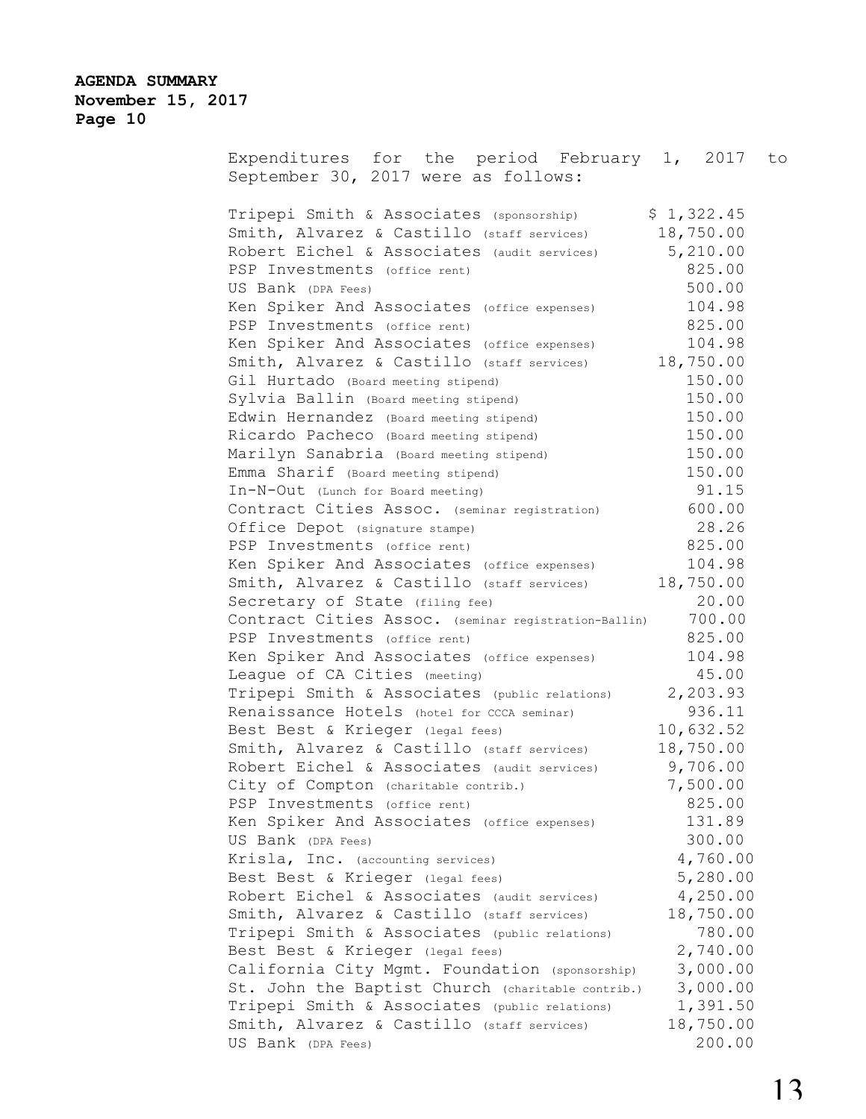Expenditures for the period February 1, 2017 to September 30, 2017 were as follows: Tripepi Smith & Associates (sponsorship) \$ 1,322.45 Smith, Alvarez & Castillo (staff services) 18,750.00 Robert Eichel & Associates (audit services) 5,210.00 PSP Investments (office rent) 825.00 US Bank (DPA Fees) 500.00 Ken Spiker And Associates (office expenses) 104.98 PSP Investments (office rent) 825.00 Ken Spiker And Associates (office expenses) 104.98 Smith, Alvarez & Castillo (staff services) 18,750.00 Gil Hurtado (Board meeting stipend) 150.00 Sylvia Ballin (Board meeting stipend) 150.00 Edwin Hernandez (Board meeting stipend) 150.00 Ricardo Pacheco (Board meeting stipend) 150.00 Marilyn Sanabria (Board meeting stipend) 150.00 Emma Sharif (Board meeting stipend) 150.00 In-N-Out (Lunch for Board meeting) 91.15 Contract Cities Assoc. (seminar registration) 600.00 Office Depot (signature stampe) 28.26 PSP Investments (office rent) 825.00 Ken Spiker And Associates (office expenses) 104.98 Smith, Alvarez & Castillo (staff services) 18,750.00 Secretary of State (filing fee) 20.00 Contract Cities Assoc. (seminar registration-Ballin) 700.00 PSP Investments (office rent) 825.00 Ken Spiker And Associates (office expenses) 104.98 League of CA Cities (meeting) 45.00<br>Tripepi Smith & Associates (public relations) 2,203.93 Tripepi Smith & Associates (public relations) Renaissance Hotels (hotel for CCCA seminar) 936.11 Best Best & Krieger (legal fees) 10,632.52 Smith, Alvarez & Castillo (staff services) 18,750.00 Robert Eichel & Associates (audit services) 9,706.00 City of Compton (charitable contrib.) 7,500.00 PSP Investments (office rent) 825.00 Ken Spiker And Associates (office expenses) 131.89 US Bank (DPA Fees) 300.00 Krisla, Inc. (accounting services) 4,760.00 Best Best & Krieger (legal fees) 5,280.00 Robert Eichel & Associates (audit services) 4,250.00 Smith, Alvarez & Castillo (staff services) 18,750.00 Tripepi Smith & Associates (public relations) 780.00 Best Best & Krieger (legal fees) 2,740.00 California City Mgmt. Foundation (sponsorship) 3,000.00 St. John the Baptist Church (charitable contrib.) 3,000.00 Tripepi Smith & Associates (public relations) 1,391.50 Smith, Alvarez & Castillo (staff services) 18,750.00 US Bank (DPA Fees) 200.00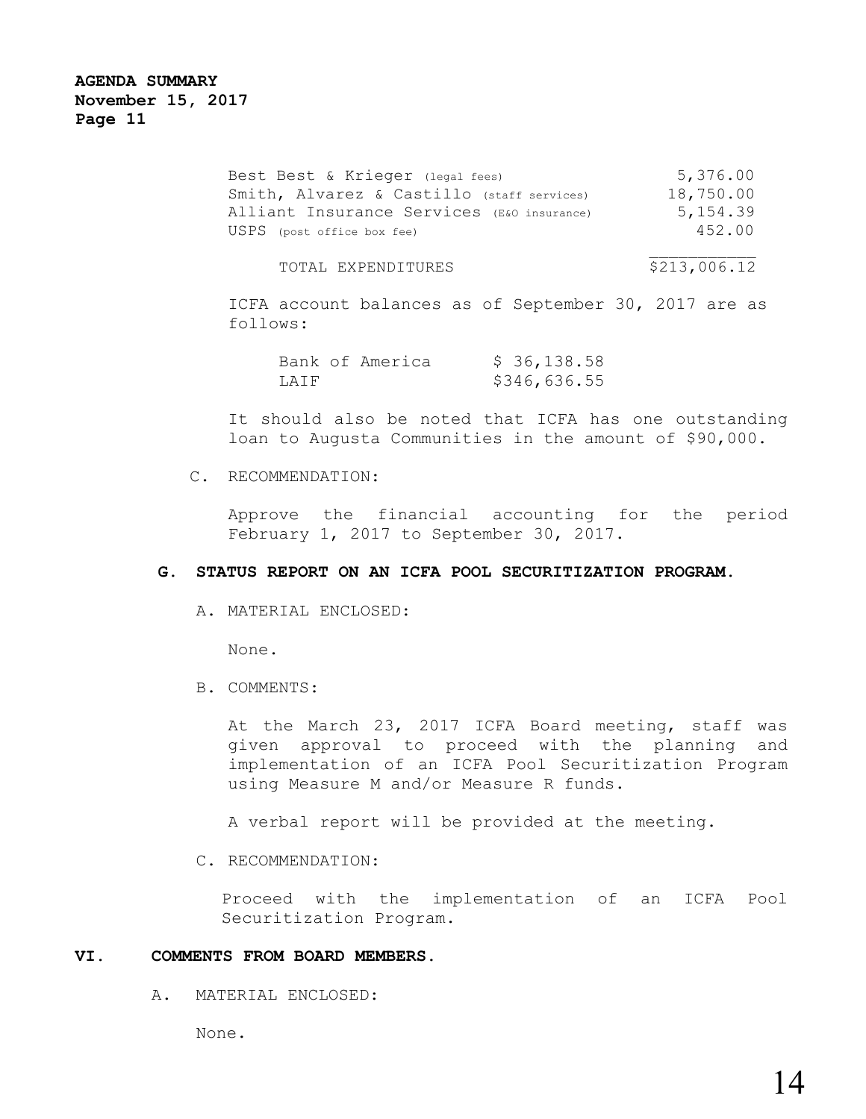| Best Best & Krieger (legal fees)           | 5,376.00  |
|--------------------------------------------|-----------|
| Smith, Alvarez & Castillo (staff services) | 18,750.00 |
| Alliant Insurance Services (E&O insurance) | 5, 154.39 |
| USPS (post office box fee)                 | 452.00    |
|                                            |           |

### TOTAL EXPENDITURES  $$213,006.12$

ICFA account balances as of September 30, 2017 are as follows:

|      | Bank of America |  | \$36,138.58  |  |
|------|-----------------|--|--------------|--|
| LAIF |                 |  | \$346,636.55 |  |

It should also be noted that ICFA has one outstanding loan to Augusta Communities in the amount of \$90,000.

### C. RECOMMENDATION:

Approve the financial accounting for the period February 1, 2017 to September 30, 2017.

### **G. STATUS REPORT ON AN ICFA POOL SECURITIZATION PROGRAM.**

A. MATERIAL ENCLOSED:

None.

B. COMMENTS:

At the March 23, 2017 ICFA Board meeting, staff was given approval to proceed with the planning and implementation of an ICFA Pool Securitization Program using Measure M and/or Measure R funds.

A verbal report will be provided at the meeting.

C. RECOMMENDATION:

Proceed with the implementation of an ICFA Pool Securitization Program.

# **VI. COMMENTS FROM BOARD MEMBERS.**

A. MATERIAL ENCLOSED:

None.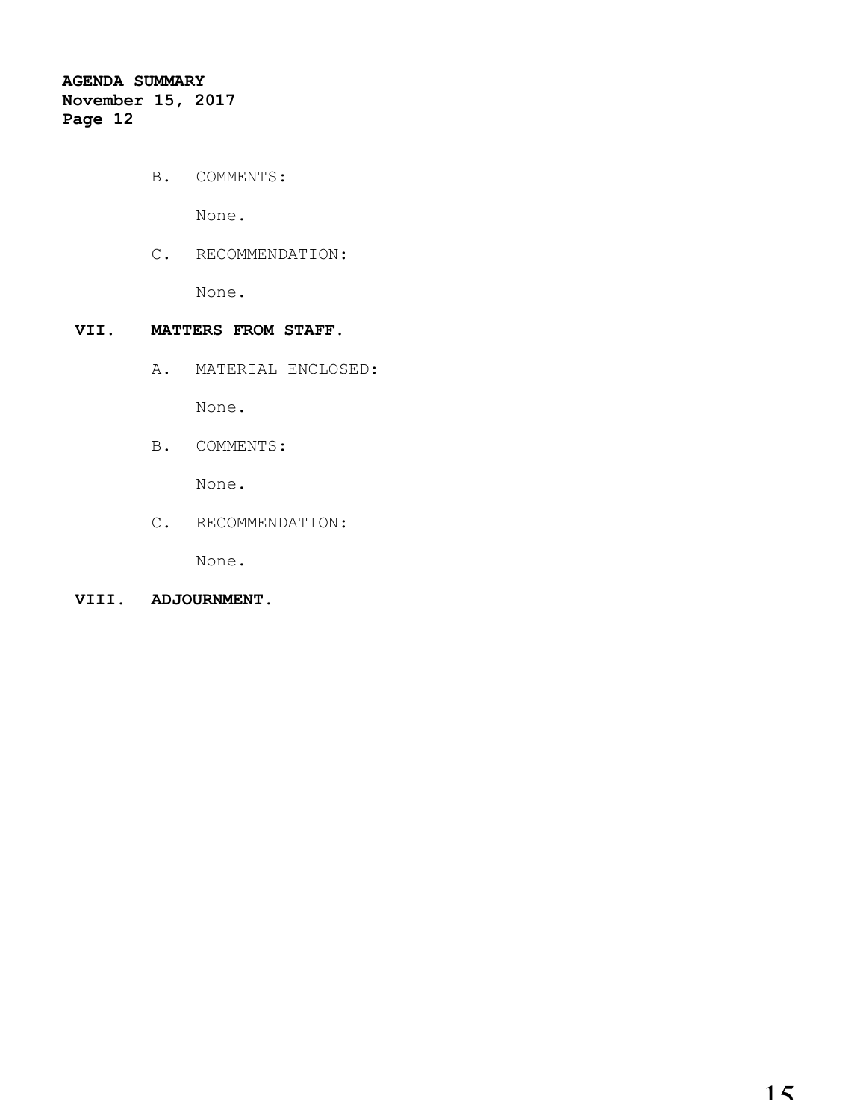B. COMMENTS:

None.

C. RECOMMENDATION:

None.

# **VII. MATTERS FROM STAFF.**

A. MATERIAL ENCLOSED:

None.

B. COMMENTS:

None.

C. RECOMMENDATION:

None.

# **VIII. ADJOURNMENT.**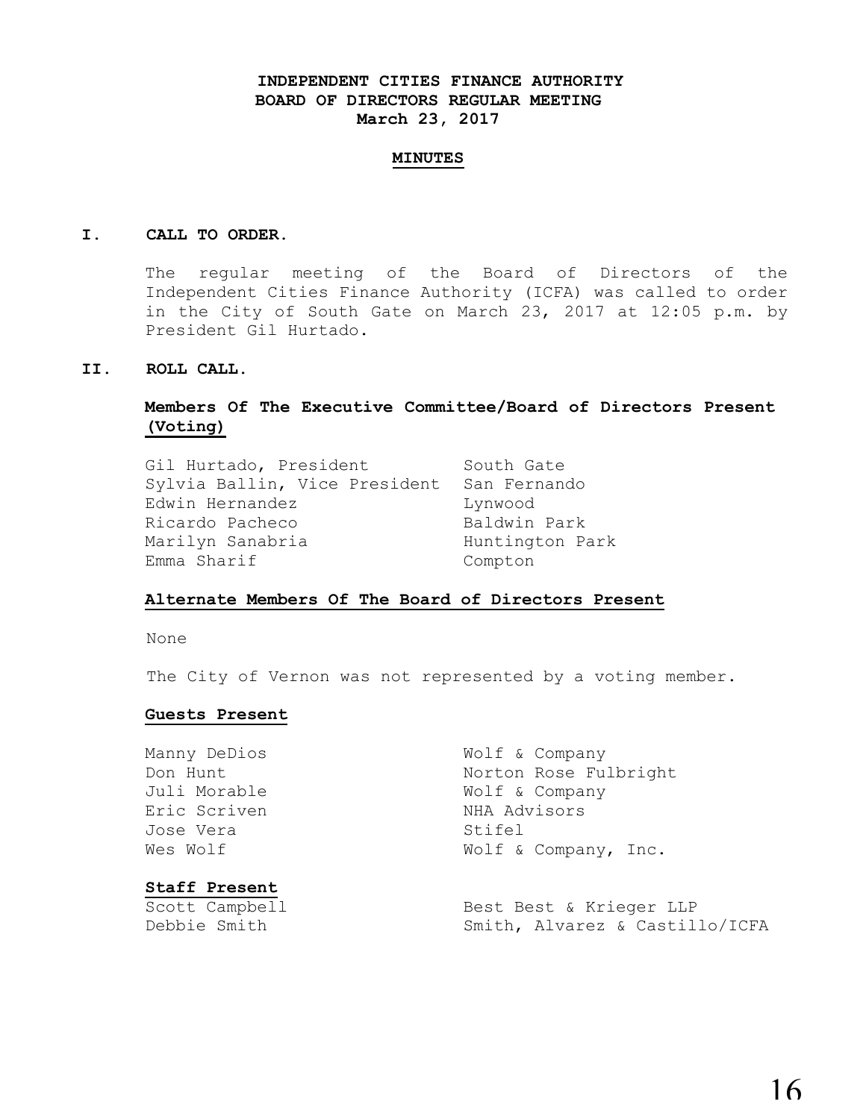# **INDEPENDENT CITIES FINANCE AUTHORITY BOARD OF DIRECTORS REGULAR MEETING March 23, 2017**

#### **MINUTES**

### **I. CALL TO ORDER.**

The regular meeting of the Board of Directors of the Independent Cities Finance Authority (ICFA) was called to order in the City of South Gate on March 23, 2017 at 12:05 p.m. by President Gil Hurtado.

### **II. ROLL CALL.**

# **Members Of The Executive Committee/Board of Directors Present (Voting)**

| Gil Hurtado, President        | South Gate      |
|-------------------------------|-----------------|
| Sylvia Ballin, Vice President | San Fernando    |
| Edwin Hernandez               | Lynwood         |
| Ricardo Pacheco               | Baldwin Park    |
| Marilyn Sanabria              | Huntington Park |
| Emma Sharif                   | Compton         |

### **Alternate Members Of The Board of Directors Present**

None

The City of Vernon was not represented by a voting member.

### **Guests Present**

| Manny DeDios         | Wolf & Company                 |
|----------------------|--------------------------------|
| Don Hunt             | Norton Rose Fulbright          |
| Juli Morable         | Wolf & Company                 |
| Eric Scriven         | NHA Advisors                   |
| Jose Vera            | Stifel                         |
| Wes Wolf             | Wolf & Company, Inc.           |
| <b>Staff Present</b> |                                |
| Scott Campbell       | Best Best & Krieger LLP        |
| Debbie Smith         | Smith, Alvarez & Castillo/ICFA |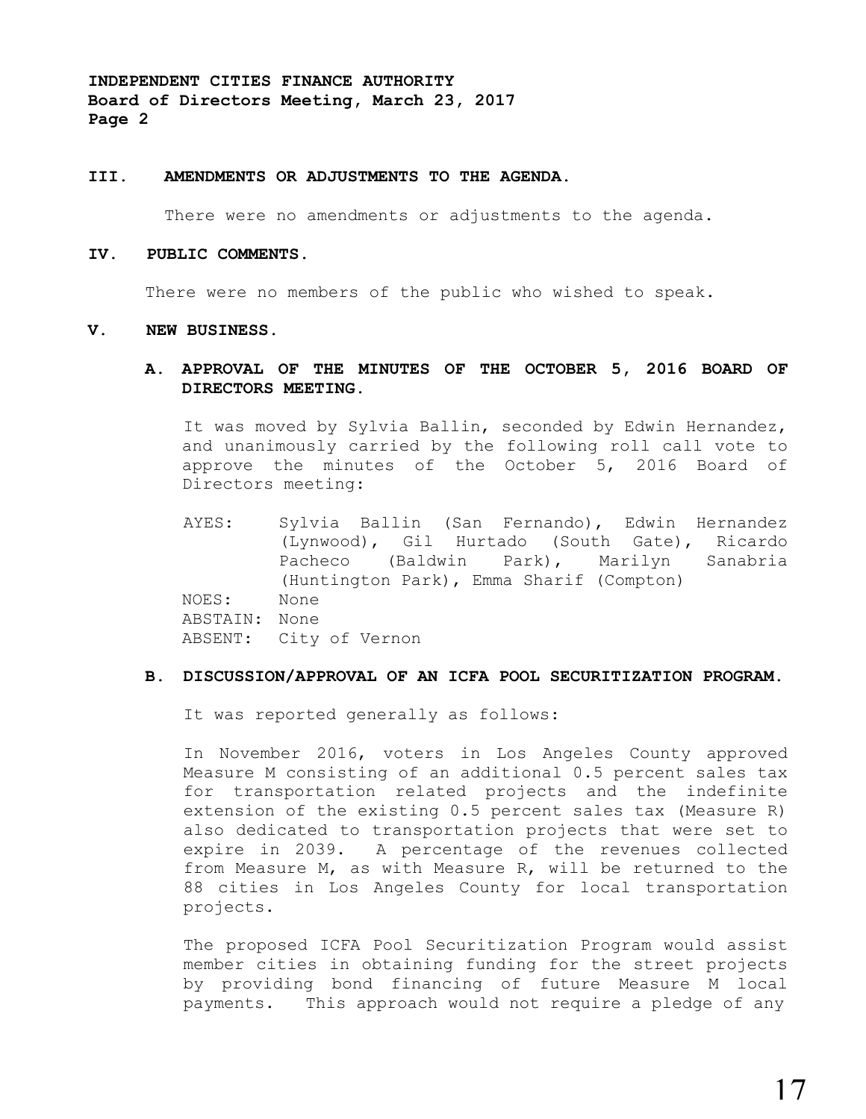#### **III. AMENDMENTS OR ADJUSTMENTS TO THE AGENDA.**

There were no amendments or adjustments to the agenda.

#### **IV. PUBLIC COMMENTS.**

There were no members of the public who wished to speak.

#### **V. NEW BUSINESS.**

### **A. APPROVAL OF THE MINUTES OF THE OCTOBER 5, 2016 BOARD OF DIRECTORS MEETING.**

It was moved by Sylvia Ballin, seconded by Edwin Hernandez, and unanimously carried by the following roll call vote to approve the minutes of the October 5, 2016 Board of Directors meeting:

AYES: Sylvia Ballin (San Fernando), Edwin Hernandez (Lynwood), Gil Hurtado (South Gate), Ricardo Pacheco (Baldwin Park), Marilyn Sanabria (Huntington Park), Emma Sharif (Compton) NOES: None ABSTAIN: None ABSENT: City of Vernon

### **B. DISCUSSION/APPROVAL OF AN ICFA POOL SECURITIZATION PROGRAM.**

It was reported generally as follows:

In November 2016, voters in Los Angeles County approved Measure M consisting of an additional 0.5 percent sales tax for transportation related projects and the indefinite extension of the existing 0.5 percent sales tax (Measure R) also dedicated to transportation projects that were set to expire in 2039. A percentage of the revenues collected from Measure M, as with Measure R, will be returned to the 88 cities in Los Angeles County for local transportation projects.

The proposed ICFA Pool Securitization Program would assist member cities in obtaining funding for the street projects by providing bond financing of future Measure M local payments. This approach would not require a pledge of any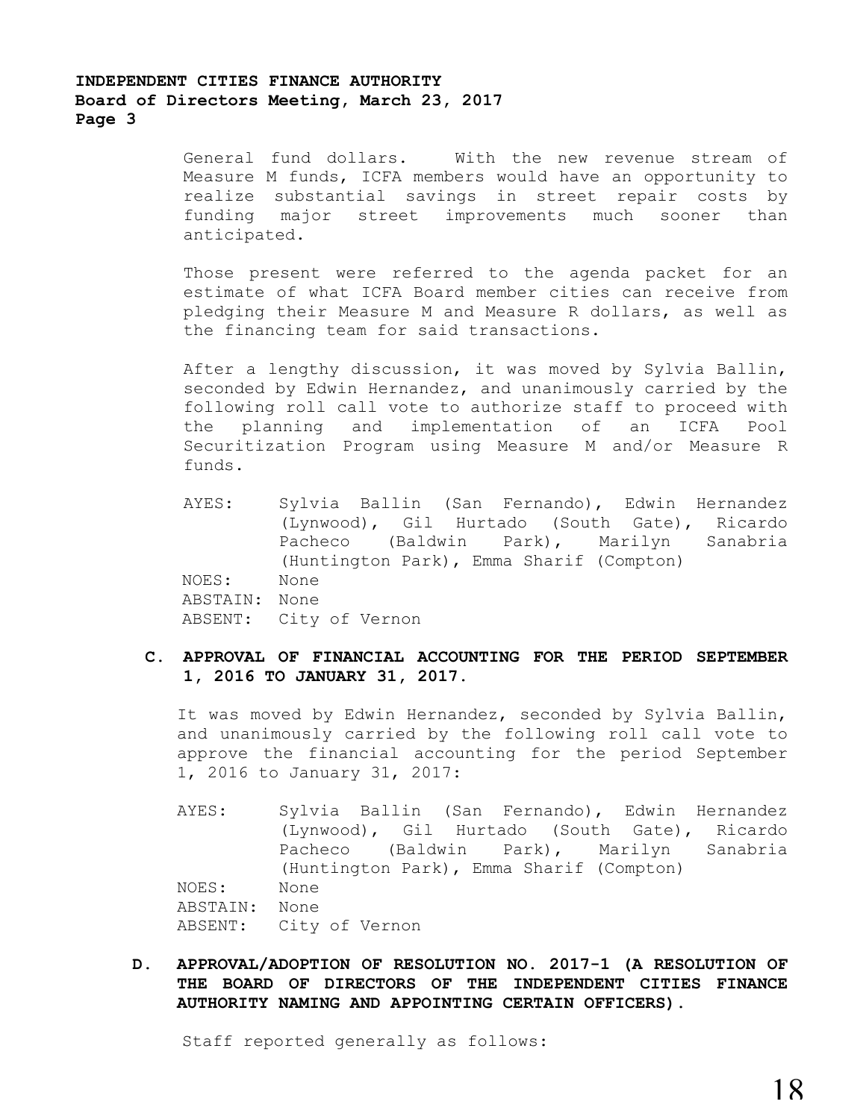General fund dollars. With the new revenue stream of Measure M funds, ICFA members would have an opportunity to realize substantial savings in street repair costs by funding major street improvements much sooner than anticipated.

Those present were referred to the agenda packet for an estimate of what ICFA Board member cities can receive from pledging their Measure M and Measure R dollars, as well as the financing team for said transactions.

After a lengthy discussion, it was moved by Sylvia Ballin, seconded by Edwin Hernandez, and unanimously carried by the following roll call vote to authorize staff to proceed with the planning and implementation of an ICFA Pool Securitization Program using Measure M and/or Measure R funds.

- AYES: Sylvia Ballin (San Fernando), Edwin Hernandez (Lynwood), Gil Hurtado (South Gate), Ricardo Pacheco (Baldwin Park), Marilyn Sanabria (Huntington Park), Emma Sharif (Compton) NOES: None ABSTAIN: None ABSENT: City of Vernon
- **C. APPROVAL OF FINANCIAL ACCOUNTING FOR THE PERIOD SEPTEMBER 1, 2016 TO JANUARY 31, 2017.**

It was moved by Edwin Hernandez, seconded by Sylvia Ballin, and unanimously carried by the following roll call vote to approve the financial accounting for the period September 1, 2016 to January 31, 2017:

- AYES: Sylvia Ballin (San Fernando), Edwin Hernandez (Lynwood), Gil Hurtado (South Gate), Ricardo Pacheco (Baldwin Park), Marilyn Sanabria (Huntington Park), Emma Sharif (Compton) NOES: None ABSTAIN: None ABSENT: City of Vernon
- **D. APPROVAL/ADOPTION OF RESOLUTION NO. 2017-1 (A RESOLUTION OF THE BOARD OF DIRECTORS OF THE INDEPENDENT CITIES FINANCE AUTHORITY NAMING AND APPOINTING CERTAIN OFFICERS).**

Staff reported generally as follows: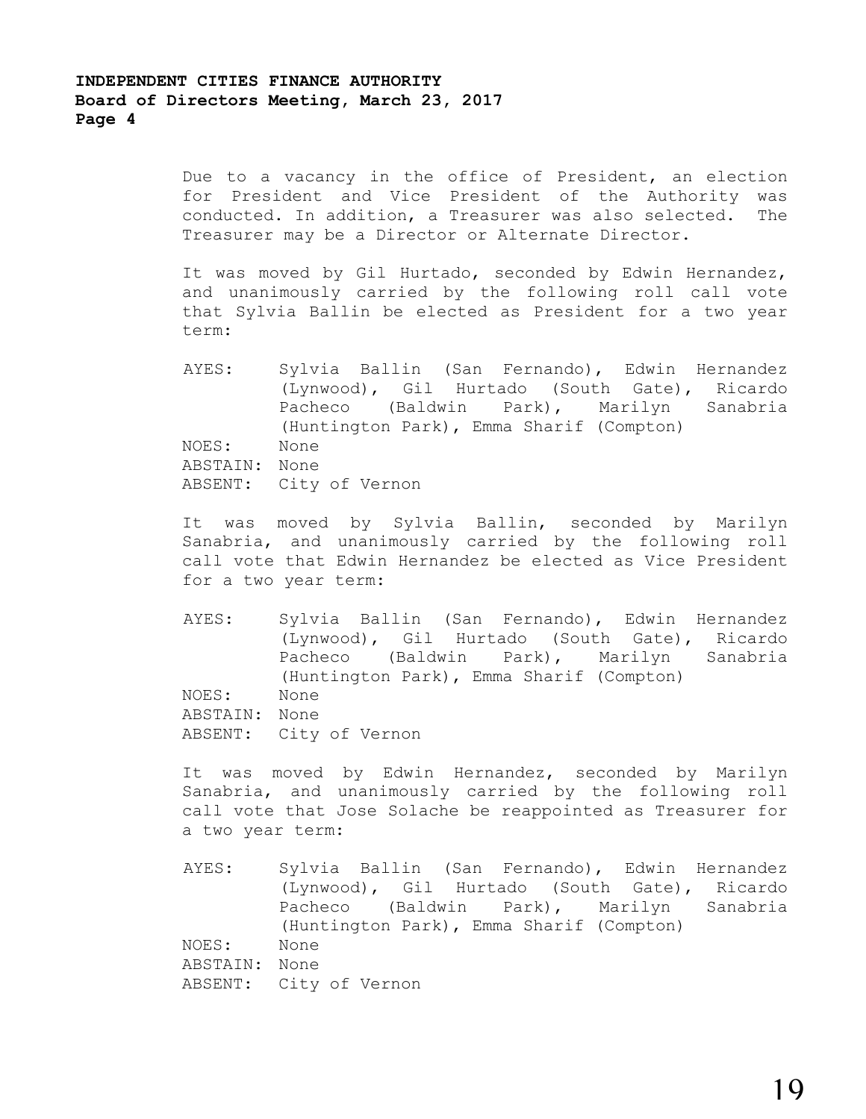Due to a vacancy in the office of President, an election for President and Vice President of the Authority was conducted. In addition, a Treasurer was also selected. The Treasurer may be a Director or Alternate Director.

It was moved by Gil Hurtado, seconded by Edwin Hernandez, and unanimously carried by the following roll call vote that Sylvia Ballin be elected as President for a two year term:

AYES: Sylvia Ballin (San Fernando), Edwin Hernandez (Lynwood), Gil Hurtado (South Gate), Ricardo Pacheco (Baldwin Park), Marilyn Sanabria (Huntington Park), Emma Sharif (Compton) NOES: None ABSTAIN: None ABSENT: City of Vernon

It was moved by Sylvia Ballin, seconded by Marilyn Sanabria, and unanimously carried by the following roll call vote that Edwin Hernandez be elected as Vice President for a two year term:

AYES: Sylvia Ballin (San Fernando), Edwin Hernandez (Lynwood), Gil Hurtado (South Gate), Ricardo Pacheco (Baldwin Park), Marilyn Sanabria (Huntington Park), Emma Sharif (Compton) NOES: None ABSTAIN: None ABSENT: City of Vernon

It was moved by Edwin Hernandez, seconded by Marilyn Sanabria, and unanimously carried by the following roll call vote that Jose Solache be reappointed as Treasurer for a two year term:

AYES: Sylvia Ballin (San Fernando), Edwin Hernandez (Lynwood), Gil Hurtado (South Gate), Ricardo Pacheco (Baldwin Park), Marilyn Sanabria (Huntington Park), Emma Sharif (Compton) NOES: None ABSTAIN: None ABSENT: City of Vernon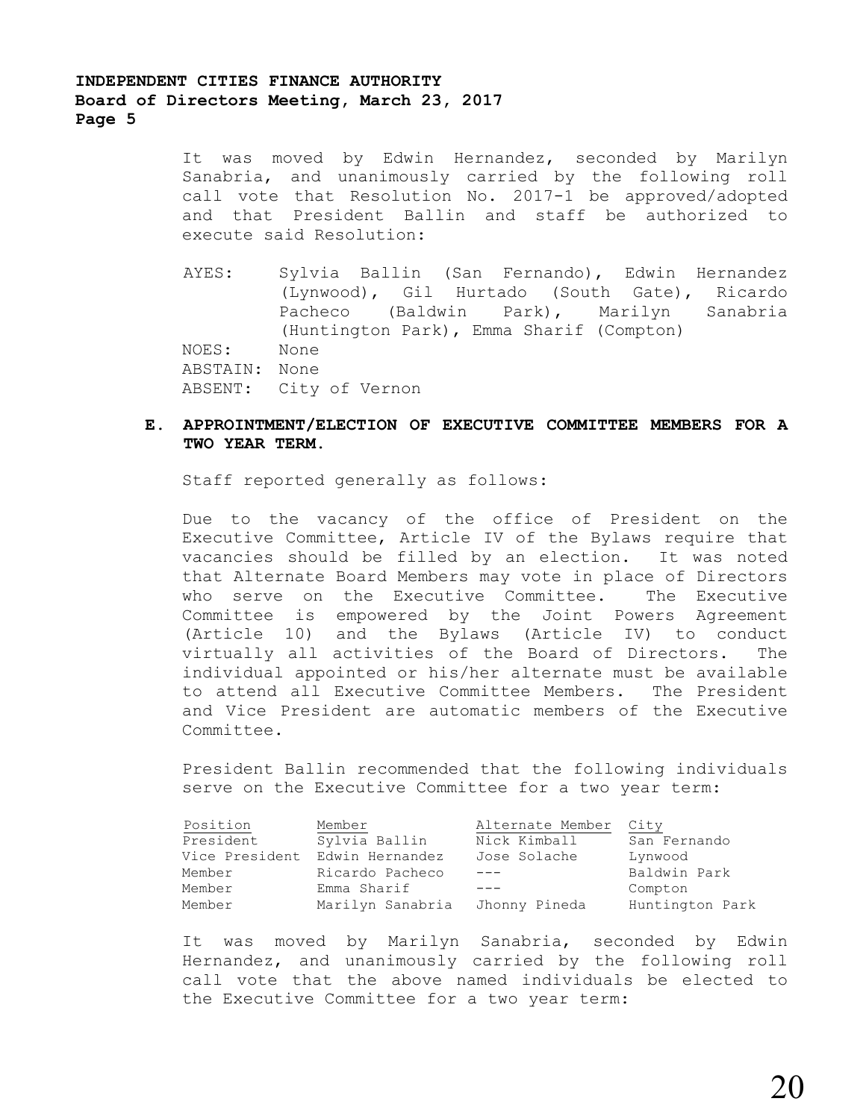It was moved by Edwin Hernandez, seconded by Marilyn Sanabria, and unanimously carried by the following roll call vote that Resolution No. 2017-1 be approved/adopted and that President Ballin and staff be authorized to execute said Resolution:

AYES: Sylvia Ballin (San Fernando), Edwin Hernandez (Lynwood), Gil Hurtado (South Gate), Ricardo Pacheco (Baldwin Park), Marilyn Sanabria (Huntington Park), Emma Sharif (Compton) NOES: None ABSTAIN: None ABSENT: City of Vernon

### **E. APPROINTMENT/ELECTION OF EXECUTIVE COMMITTEE MEMBERS FOR A TWO YEAR TERM.**

Staff reported generally as follows:

Due to the vacancy of the office of President on the Executive Committee, Article IV of the Bylaws require that vacancies should be filled by an election. It was noted that Alternate Board Members may vote in place of Directors who serve on the Executive Committee. The Executive Committee is empowered by the Joint Powers Agreement (Article 10) and the Bylaws (Article IV) to conduct virtually all activities of the Board of Directors. The individual appointed or his/her alternate must be available to attend all Executive Committee Members. The President and Vice President are automatic members of the Executive Committee.

President Ballin recommended that the following individuals serve on the Executive Committee for a two year term:

| Position  | Member                         | Alternate Member City |                 |
|-----------|--------------------------------|-----------------------|-----------------|
| President | Sylvia Ballin                  | Nick Kimball          | San Fernando    |
|           | Vice President Edwin Hernandez | Jose Solache          | Lynwood         |
| Member    | Ricardo Pacheco                | $\qquad \qquad - -$   | Baldwin Park    |
| Member    | Emma Sharif                    | $- - -$               | Compton         |
| Member    | Marilyn Sanabria               | Jhonny Pineda         | Huntington Park |

It was moved by Marilyn Sanabria, seconded by Edwin Hernandez, and unanimously carried by the following roll call vote that the above named individuals be elected to the Executive Committee for a two year term: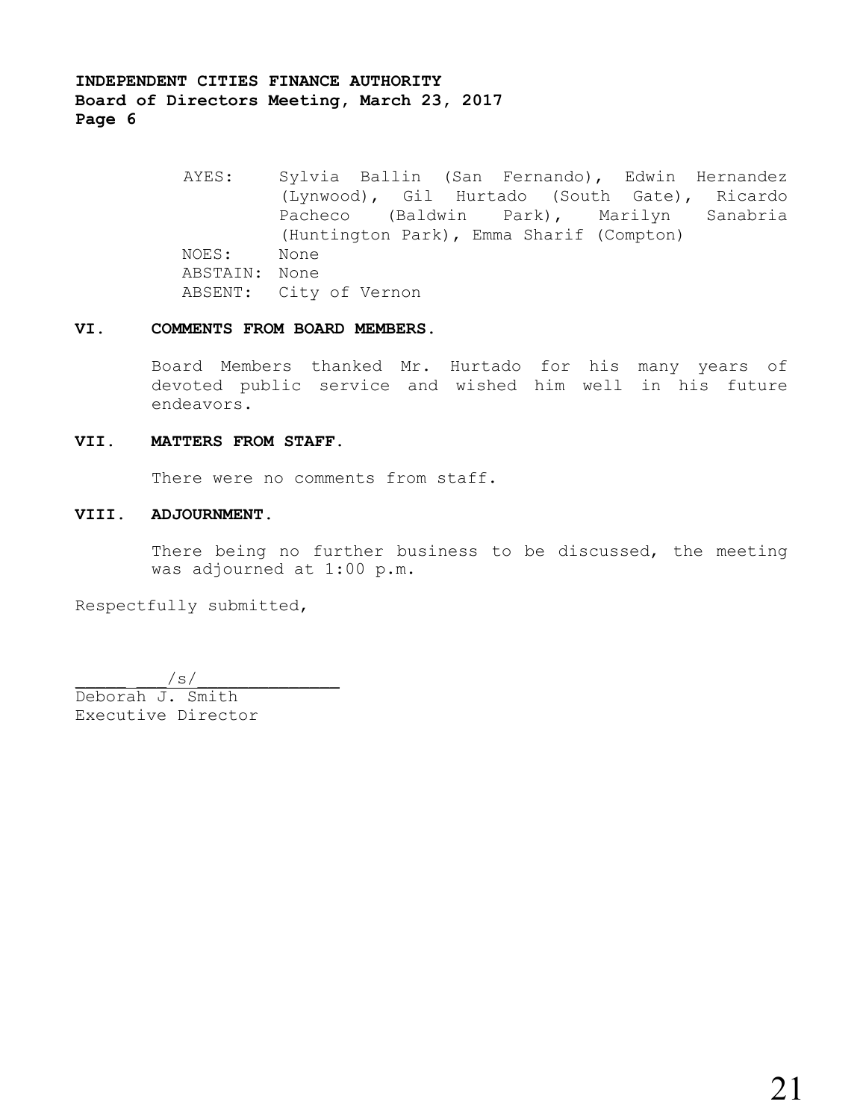> AYES: Sylvia Ballin (San Fernando), Edwin Hernandez (Lynwood), Gil Hurtado (South Gate), Ricardo Pacheco (Baldwin Park), Marilyn Sanabria (Huntington Park), Emma Sharif (Compton) NOES: None ABSTAIN: None ABSENT: City of Vernon

#### **VI. COMMENTS FROM BOARD MEMBERS.**

Board Members thanked Mr. Hurtado for his many years of devoted public service and wished him well in his future endeavors.

#### **VII. MATTERS FROM STAFF.**

There were no comments from staff.

### **VIII. ADJOURNMENT.**

There being no further business to be discussed, the meeting was adjourned at 1:00 p.m.

Respectfully submitted,

 $\sqrt{s}/\sqrt{s}$ Deborah J. Smith Executive Director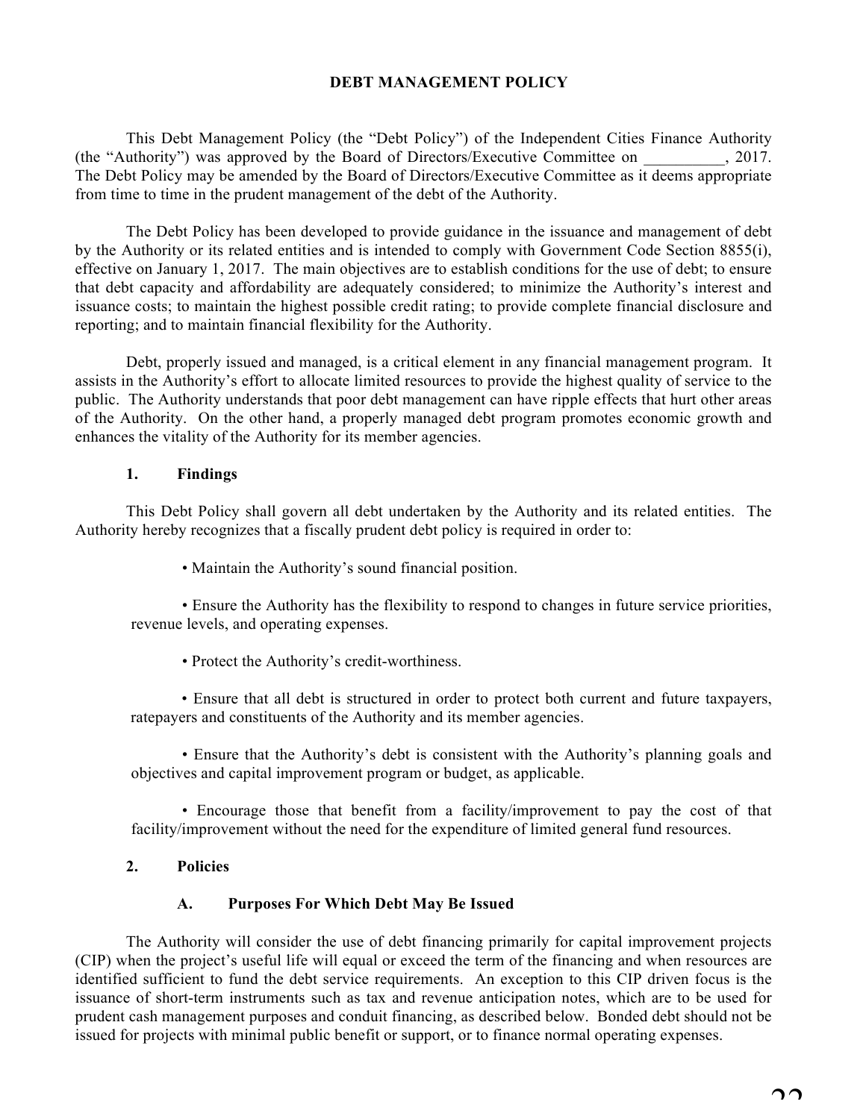# **DEBT MANAGEMENT POLICY**

This Debt Management Policy (the "Debt Policy") of the Independent Cities Finance Authority (the "Authority") was approved by the Board of Directors/Executive Committee on  $\qquad \qquad$  2017. The Debt Policy may be amended by the Board of Directors/Executive Committee as it deems appropriate from time to time in the prudent management of the debt of the Authority.

The Debt Policy has been developed to provide guidance in the issuance and management of debt by the Authority or its related entities and is intended to comply with Government Code Section 8855(i), effective on January 1, 2017. The main objectives are to establish conditions for the use of debt; to ensure that debt capacity and affordability are adequately considered; to minimize the Authority's interest and issuance costs; to maintain the highest possible credit rating; to provide complete financial disclosure and reporting; and to maintain financial flexibility for the Authority.

Debt, properly issued and managed, is a critical element in any financial management program. It assists in the Authority's effort to allocate limited resources to provide the highest quality of service to the public. The Authority understands that poor debt management can have ripple effects that hurt other areas of the Authority. On the other hand, a properly managed debt program promotes economic growth and enhances the vitality of the Authority for its member agencies.

# **1. Findings**

This Debt Policy shall govern all debt undertaken by the Authority and its related entities. The Authority hereby recognizes that a fiscally prudent debt policy is required in order to:

• Maintain the Authority's sound financial position.

• Ensure the Authority has the flexibility to respond to changes in future service priorities, revenue levels, and operating expenses.

• Protect the Authority's credit-worthiness.

• Ensure that all debt is structured in order to protect both current and future taxpayers, ratepayers and constituents of the Authority and its member agencies.

• Ensure that the Authority's debt is consistent with the Authority's planning goals and objectives and capital improvement program or budget, as applicable.

• Encourage those that benefit from a facility/improvement to pay the cost of that facility/improvement without the need for the expenditure of limited general fund resources.

# **2. Policies**

# **A. Purposes For Which Debt May Be Issued**

The Authority will consider the use of debt financing primarily for capital improvement projects (CIP) when the project's useful life will equal or exceed the term of the financing and when resources are identified sufficient to fund the debt service requirements. An exception to this CIP driven focus is the issuance of short-term instruments such as tax and revenue anticipation notes, which are to be used for prudent cash management purposes and conduit financing, as described below. Bonded debt should not be issued for projects with minimal public benefit or support, or to finance normal operating expenses.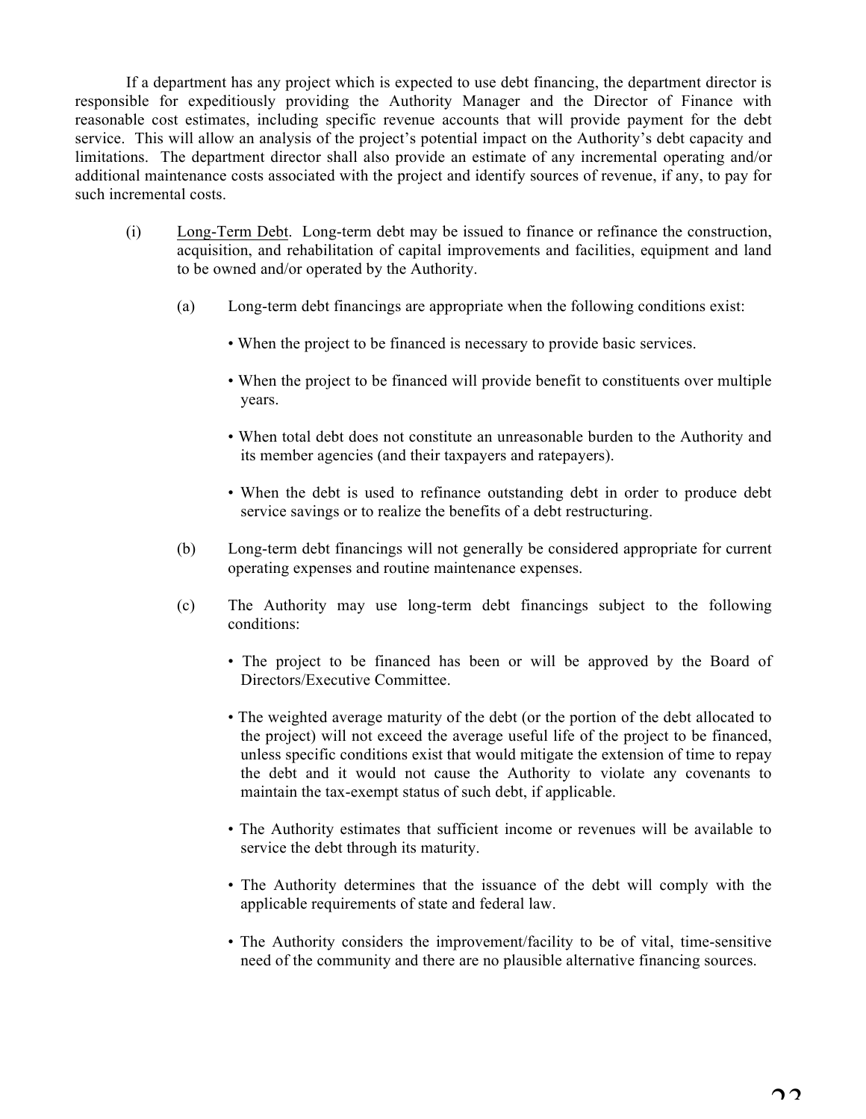If a department has any project which is expected to use debt financing, the department director is responsible for expeditiously providing the Authority Manager and the Director of Finance with reasonable cost estimates, including specific revenue accounts that will provide payment for the debt service. This will allow an analysis of the project's potential impact on the Authority's debt capacity and limitations. The department director shall also provide an estimate of any incremental operating and/or additional maintenance costs associated with the project and identify sources of revenue, if any, to pay for such incremental costs.

- (i) Long-Term Debt. Long-term debt may be issued to finance or refinance the construction, acquisition, and rehabilitation of capital improvements and facilities, equipment and land to be owned and/or operated by the Authority.
	- (a) Long-term debt financings are appropriate when the following conditions exist:
		- When the project to be financed is necessary to provide basic services.
		- When the project to be financed will provide benefit to constituents over multiple years.
		- When total debt does not constitute an unreasonable burden to the Authority and its member agencies (and their taxpayers and ratepayers).
		- When the debt is used to refinance outstanding debt in order to produce debt service savings or to realize the benefits of a debt restructuring.
	- (b) Long-term debt financings will not generally be considered appropriate for current operating expenses and routine maintenance expenses.
	- (c) The Authority may use long-term debt financings subject to the following conditions:
		- The project to be financed has been or will be approved by the Board of Directors/Executive Committee.
		- The weighted average maturity of the debt (or the portion of the debt allocated to the project) will not exceed the average useful life of the project to be financed, unless specific conditions exist that would mitigate the extension of time to repay the debt and it would not cause the Authority to violate any covenants to maintain the tax-exempt status of such debt, if applicable.
		- The Authority estimates that sufficient income or revenues will be available to service the debt through its maturity.
		- The Authority determines that the issuance of the debt will comply with the applicable requirements of state and federal law.
		- The Authority considers the improvement/facility to be of vital, time-sensitive need of the community and there are no plausible alternative financing sources.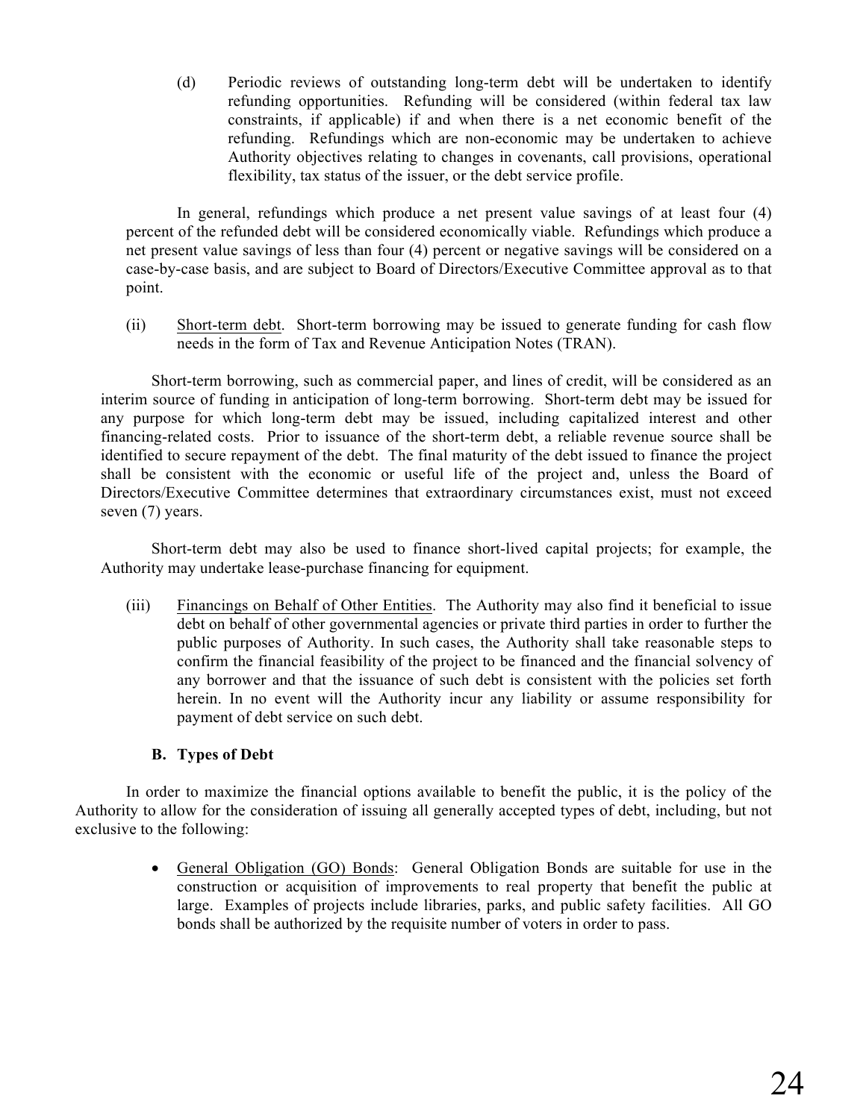(d) Periodic reviews of outstanding long-term debt will be undertaken to identify refunding opportunities. Refunding will be considered (within federal tax law constraints, if applicable) if and when there is a net economic benefit of the refunding. Refundings which are non-economic may be undertaken to achieve Authority objectives relating to changes in covenants, call provisions, operational flexibility, tax status of the issuer, or the debt service profile.

In general, refundings which produce a net present value savings of at least four (4) percent of the refunded debt will be considered economically viable. Refundings which produce a net present value savings of less than four (4) percent or negative savings will be considered on a case-by-case basis, and are subject to Board of Directors/Executive Committee approval as to that point.

(ii) Short-term debt. Short-term borrowing may be issued to generate funding for cash flow needs in the form of Tax and Revenue Anticipation Notes (TRAN).

Short-term borrowing, such as commercial paper, and lines of credit, will be considered as an interim source of funding in anticipation of long-term borrowing. Short-term debt may be issued for any purpose for which long-term debt may be issued, including capitalized interest and other financing-related costs. Prior to issuance of the short-term debt, a reliable revenue source shall be identified to secure repayment of the debt. The final maturity of the debt issued to finance the project shall be consistent with the economic or useful life of the project and, unless the Board of Directors/Executive Committee determines that extraordinary circumstances exist, must not exceed seven (7) years.

Short-term debt may also be used to finance short-lived capital projects; for example, the Authority may undertake lease-purchase financing for equipment.

(iii) Financings on Behalf of Other Entities. The Authority may also find it beneficial to issue debt on behalf of other governmental agencies or private third parties in order to further the public purposes of Authority. In such cases, the Authority shall take reasonable steps to confirm the financial feasibility of the project to be financed and the financial solvency of any borrower and that the issuance of such debt is consistent with the policies set forth herein. In no event will the Authority incur any liability or assume responsibility for payment of debt service on such debt.

# **B. Types of Debt**

In order to maximize the financial options available to benefit the public, it is the policy of the Authority to allow for the consideration of issuing all generally accepted types of debt, including, but not exclusive to the following:

> • General Obligation (GO) Bonds: General Obligation Bonds are suitable for use in the construction or acquisition of improvements to real property that benefit the public at large. Examples of projects include libraries, parks, and public safety facilities. All GO bonds shall be authorized by the requisite number of voters in order to pass.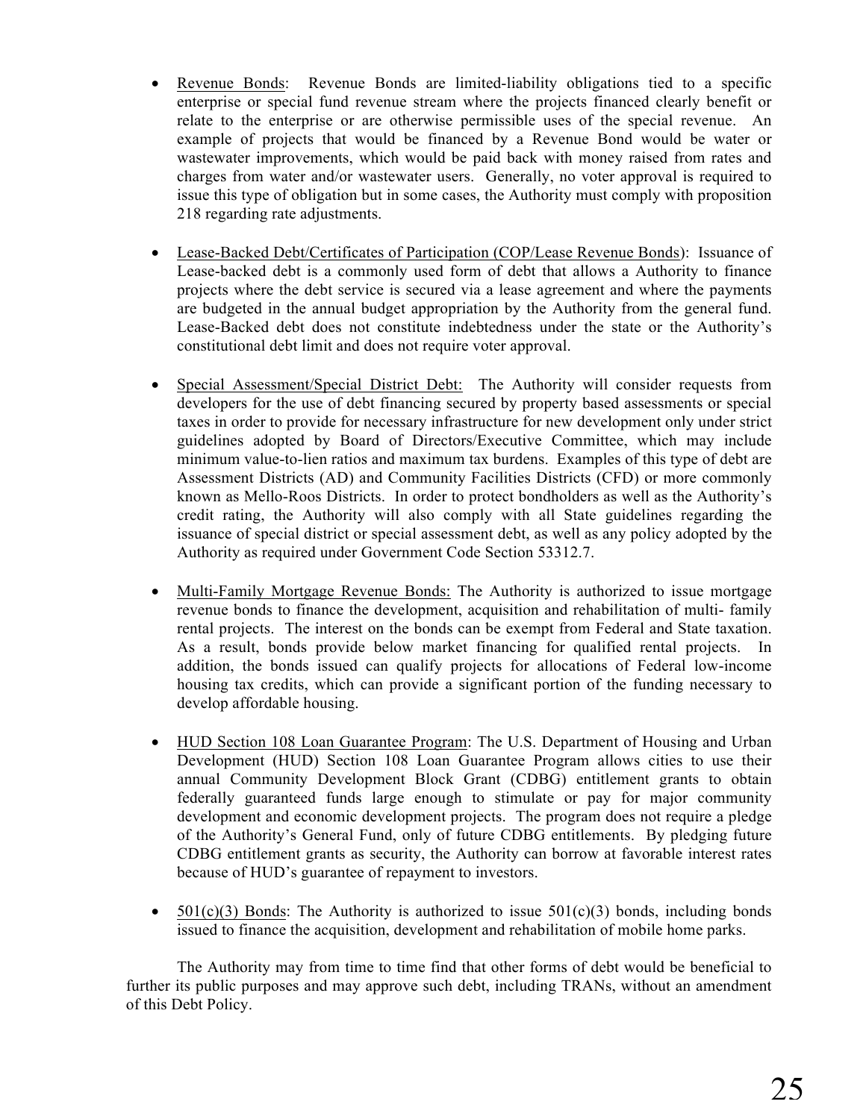- Revenue Bonds: Revenue Bonds are limited-liability obligations tied to a specific enterprise or special fund revenue stream where the projects financed clearly benefit or relate to the enterprise or are otherwise permissible uses of the special revenue. An example of projects that would be financed by a Revenue Bond would be water or wastewater improvements, which would be paid back with money raised from rates and charges from water and/or wastewater users. Generally, no voter approval is required to issue this type of obligation but in some cases, the Authority must comply with proposition 218 regarding rate adjustments.
- Lease-Backed Debt/Certificates of Participation (COP/Lease Revenue Bonds): Issuance of Lease-backed debt is a commonly used form of debt that allows a Authority to finance projects where the debt service is secured via a lease agreement and where the payments are budgeted in the annual budget appropriation by the Authority from the general fund. Lease-Backed debt does not constitute indebtedness under the state or the Authority's constitutional debt limit and does not require voter approval.
- Special Assessment/Special District Debt: The Authority will consider requests from developers for the use of debt financing secured by property based assessments or special taxes in order to provide for necessary infrastructure for new development only under strict guidelines adopted by Board of Directors/Executive Committee, which may include minimum value-to-lien ratios and maximum tax burdens. Examples of this type of debt are Assessment Districts (AD) and Community Facilities Districts (CFD) or more commonly known as Mello-Roos Districts. In order to protect bondholders as well as the Authority's credit rating, the Authority will also comply with all State guidelines regarding the issuance of special district or special assessment debt, as well as any policy adopted by the Authority as required under Government Code Section 53312.7.
- Multi-Family Mortgage Revenue Bonds: The Authority is authorized to issue mortgage revenue bonds to finance the development, acquisition and rehabilitation of multi- family rental projects. The interest on the bonds can be exempt from Federal and State taxation. As a result, bonds provide below market financing for qualified rental projects. In addition, the bonds issued can qualify projects for allocations of Federal low-income housing tax credits, which can provide a significant portion of the funding necessary to develop affordable housing.
- HUD Section 108 Loan Guarantee Program: The U.S. Department of Housing and Urban Development (HUD) Section 108 Loan Guarantee Program allows cities to use their annual Community Development Block Grant (CDBG) entitlement grants to obtain federally guaranteed funds large enough to stimulate or pay for major community development and economic development projects. The program does not require a pledge of the Authority's General Fund, only of future CDBG entitlements. By pledging future CDBG entitlement grants as security, the Authority can borrow at favorable interest rates because of HUD's guarantee of repayment to investors.
- 501(c)(3) Bonds: The Authority is authorized to issue  $501(c)(3)$  bonds, including bonds issued to finance the acquisition, development and rehabilitation of mobile home parks.

The Authority may from time to time find that other forms of debt would be beneficial to further its public purposes and may approve such debt, including TRANs, without an amendment of this Debt Policy.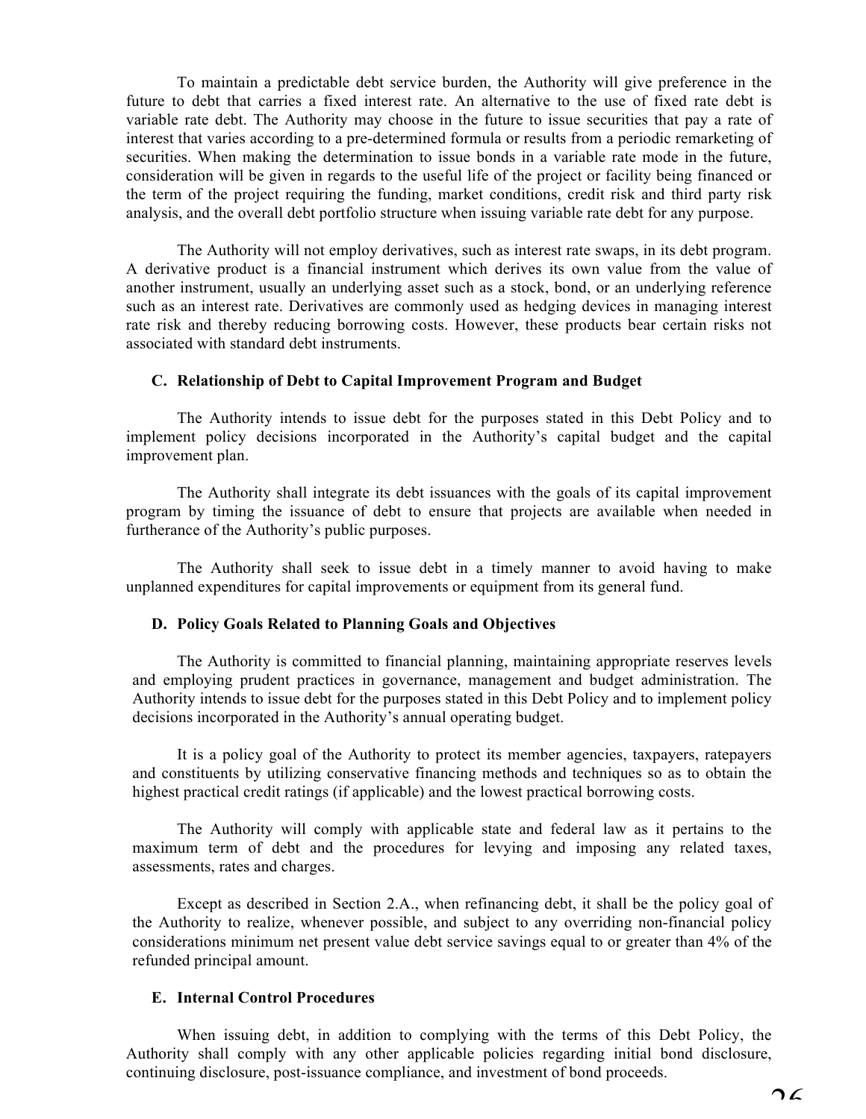To maintain a predictable debt service burden, the Authority will give preference in the future to debt that carries a fixed interest rate. An alternative to the use of fixed rate debt is variable rate debt. The Authority may choose in the future to issue securities that pay a rate of interest that varies according to a pre-determined formula or results from a periodic remarketing of securities. When making the determination to issue bonds in a variable rate mode in the future, consideration will be given in regards to the useful life of the project or facility being financed or the term of the project requiring the funding, market conditions, credit risk and third party risk analysis, and the overall debt portfolio structure when issuing variable rate debt for any purpose.

The Authority will not employ derivatives, such as interest rate swaps, in its debt program. A derivative product is a financial instrument which derives its own value from the value of another instrument, usually an underlying asset such as a stock, bond, or an underlying reference such as an interest rate. Derivatives are commonly used as hedging devices in managing interest rate risk and thereby reducing borrowing costs. However, these products bear certain risks not associated with standard debt instruments.

### **C. Relationship of Debt to Capital Improvement Program and Budget**

The Authority intends to issue debt for the purposes stated in this Debt Policy and to implement policy decisions incorporated in the Authority's capital budget and the capital improvement plan.

The Authority shall integrate its debt issuances with the goals of its capital improvement program by timing the issuance of debt to ensure that projects are available when needed in furtherance of the Authority's public purposes.

The Authority shall seek to issue debt in a timely manner to avoid having to make unplanned expenditures for capital improvements or equipment from its general fund.

### **D. Policy Goals Related to Planning Goals and Objectives**

The Authority is committed to financial planning, maintaining appropriate reserves levels and employing prudent practices in governance, management and budget administration. The Authority intends to issue debt for the purposes stated in this Debt Policy and to implement policy decisions incorporated in the Authority's annual operating budget.

It is a policy goal of the Authority to protect its member agencies, taxpayers, ratepayers and constituents by utilizing conservative financing methods and techniques so as to obtain the highest practical credit ratings (if applicable) and the lowest practical borrowing costs.

The Authority will comply with applicable state and federal law as it pertains to the maximum term of debt and the procedures for levying and imposing any related taxes, assessments, rates and charges.

Except as described in Section 2.A., when refinancing debt, it shall be the policy goal of the Authority to realize, whenever possible, and subject to any overriding non-financial policy considerations minimum net present value debt service savings equal to or greater than 4% of the refunded principal amount.

## **E. Internal Control Procedures**

When issuing debt, in addition to complying with the terms of this Debt Policy, the Authority shall comply with any other applicable policies regarding initial bond disclosure, continuing disclosure, post-issuance compliance, and investment of bond proceeds.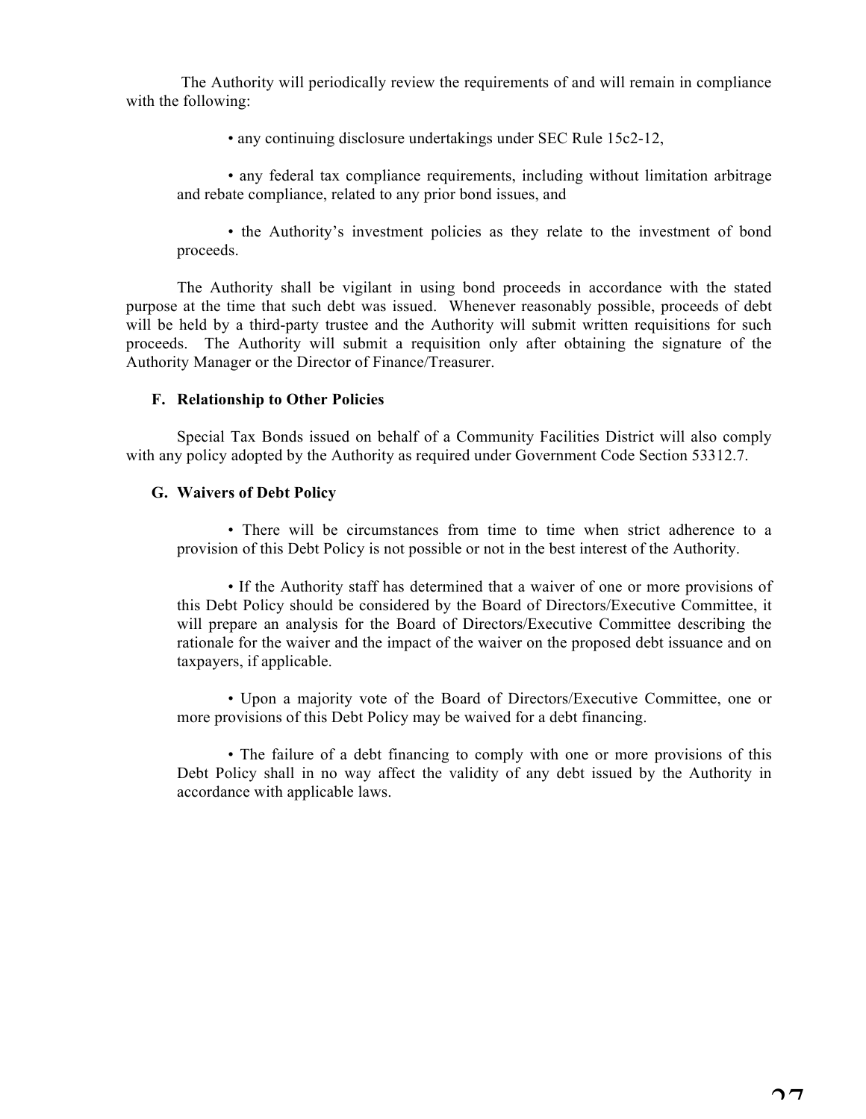The Authority will periodically review the requirements of and will remain in compliance with the following:

• any continuing disclosure undertakings under SEC Rule 15c2-12,

• any federal tax compliance requirements, including without limitation arbitrage and rebate compliance, related to any prior bond issues, and

• the Authority's investment policies as they relate to the investment of bond proceeds.

The Authority shall be vigilant in using bond proceeds in accordance with the stated purpose at the time that such debt was issued. Whenever reasonably possible, proceeds of debt will be held by a third-party trustee and the Authority will submit written requisitions for such proceeds. The Authority will submit a requisition only after obtaining the signature of the Authority Manager or the Director of Finance/Treasurer.

# **F. Relationship to Other Policies**

Special Tax Bonds issued on behalf of a Community Facilities District will also comply with any policy adopted by the Authority as required under Government Code Section 53312.7.

# **G. Waivers of Debt Policy**

• There will be circumstances from time to time when strict adherence to a provision of this Debt Policy is not possible or not in the best interest of the Authority.

• If the Authority staff has determined that a waiver of one or more provisions of this Debt Policy should be considered by the Board of Directors/Executive Committee, it will prepare an analysis for the Board of Directors/Executive Committee describing the rationale for the waiver and the impact of the waiver on the proposed debt issuance and on taxpayers, if applicable.

• Upon a majority vote of the Board of Directors/Executive Committee, one or more provisions of this Debt Policy may be waived for a debt financing.

• The failure of a debt financing to comply with one or more provisions of this Debt Policy shall in no way affect the validity of any debt issued by the Authority in accordance with applicable laws.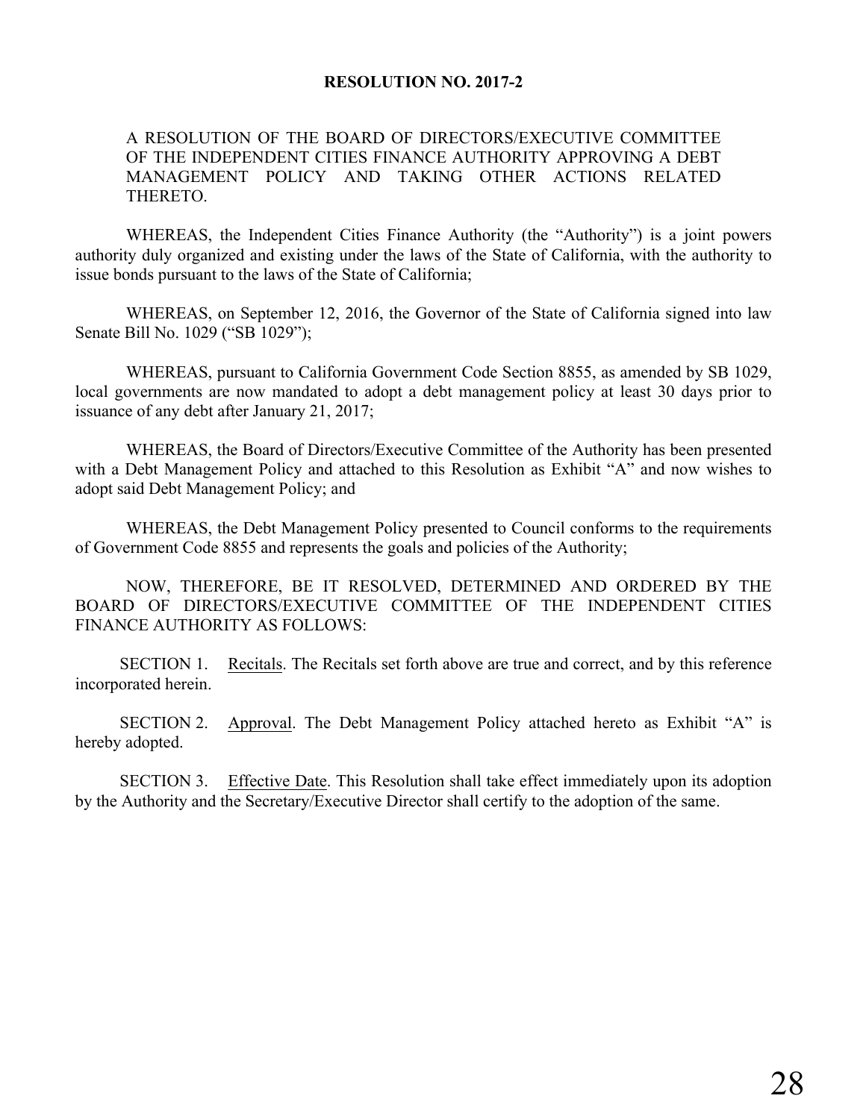# **RESOLUTION NO. 2017-2**

# A RESOLUTION OF THE BOARD OF DIRECTORS/EXECUTIVE COMMITTEE OF THE INDEPENDENT CITIES FINANCE AUTHORITY APPROVING A DEBT MANAGEMENT POLICY AND TAKING OTHER ACTIONS RELATED THERETO.

WHEREAS, the Independent Cities Finance Authority (the "Authority") is a joint powers authority duly organized and existing under the laws of the State of California, with the authority to issue bonds pursuant to the laws of the State of California;

WHEREAS, on September 12, 2016, the Governor of the State of California signed into law Senate Bill No. 1029 ("SB 1029");

WHEREAS, pursuant to California Government Code Section 8855, as amended by SB 1029, local governments are now mandated to adopt a debt management policy at least 30 days prior to issuance of any debt after January 21, 2017;

WHEREAS, the Board of Directors/Executive Committee of the Authority has been presented with a Debt Management Policy and attached to this Resolution as Exhibit "A" and now wishes to adopt said Debt Management Policy; and

WHEREAS, the Debt Management Policy presented to Council conforms to the requirements of Government Code 8855 and represents the goals and policies of the Authority;

NOW, THEREFORE, BE IT RESOLVED, DETERMINED AND ORDERED BY THE BOARD OF DIRECTORS/EXECUTIVE COMMITTEE OF THE INDEPENDENT CITIES FINANCE AUTHORITY AS FOLLOWS:

SECTION 1. Recitals. The Recitals set forth above are true and correct, and by this reference incorporated herein.

SECTION 2. Approval. The Debt Management Policy attached hereto as Exhibit "A" is hereby adopted.

SECTION 3. Effective Date. This Resolution shall take effect immediately upon its adoption by the Authority and the Secretary/Executive Director shall certify to the adoption of the same.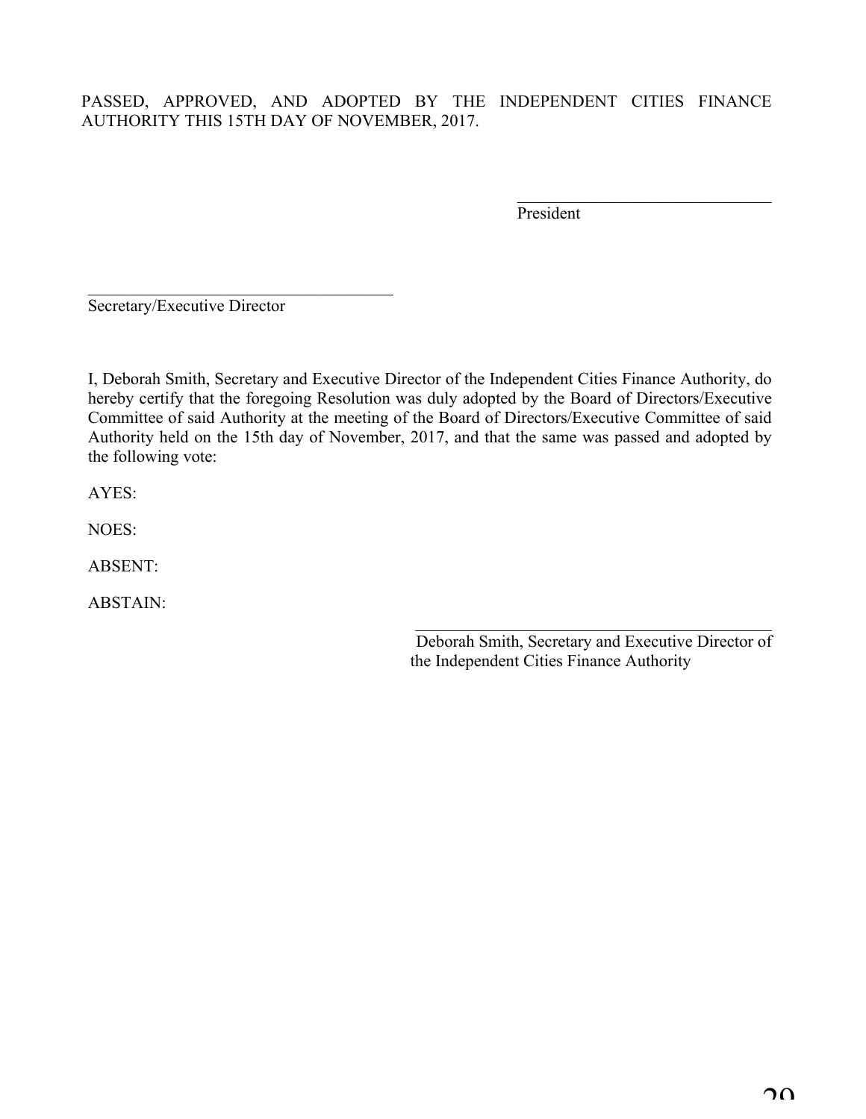# PASSED, APPROVED, AND ADOPTED BY THE INDEPENDENT CITIES FINANCE AUTHORITY THIS 15TH DAY OF NOVEMBER, 2017.

President

 $\mathcal{L}_\text{max}$ 

Secretary/Executive Director

 $\mathcal{L}_\text{max}$ 

I, Deborah Smith, Secretary and Executive Director of the Independent Cities Finance Authority, do hereby certify that the foregoing Resolution was duly adopted by the Board of Directors/Executive Committee of said Authority at the meeting of the Board of Directors/Executive Committee of said Authority held on the 15th day of November, 2017, and that the same was passed and adopted by the following vote:

AYES:

NOES:

ABSENT:

ABSTAIN:

Deborah Smith, Secretary and Executive Director of the Independent Cities Finance Authority

\_\_\_\_\_\_\_\_\_\_\_\_\_\_\_\_\_\_\_\_\_\_\_\_\_\_\_\_\_\_\_\_\_\_\_\_\_\_\_\_\_\_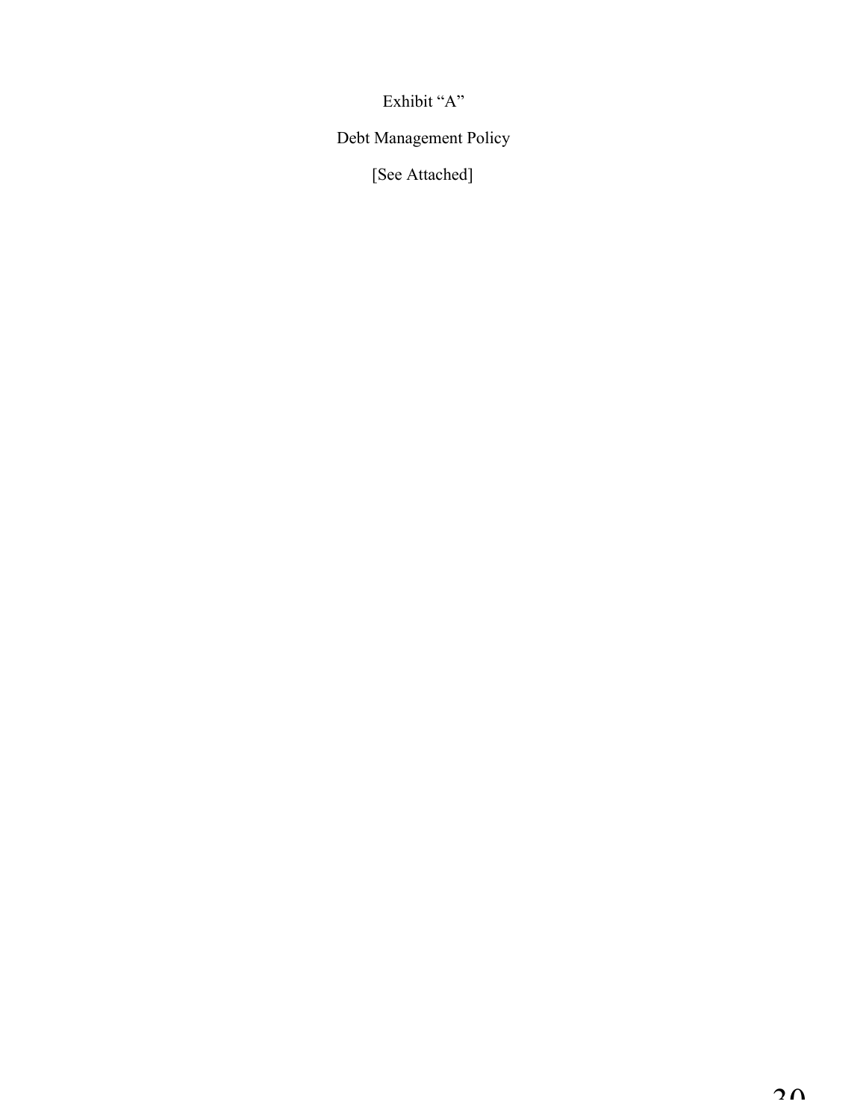Exhibit "A"

Debt Management Policy

[See Attached]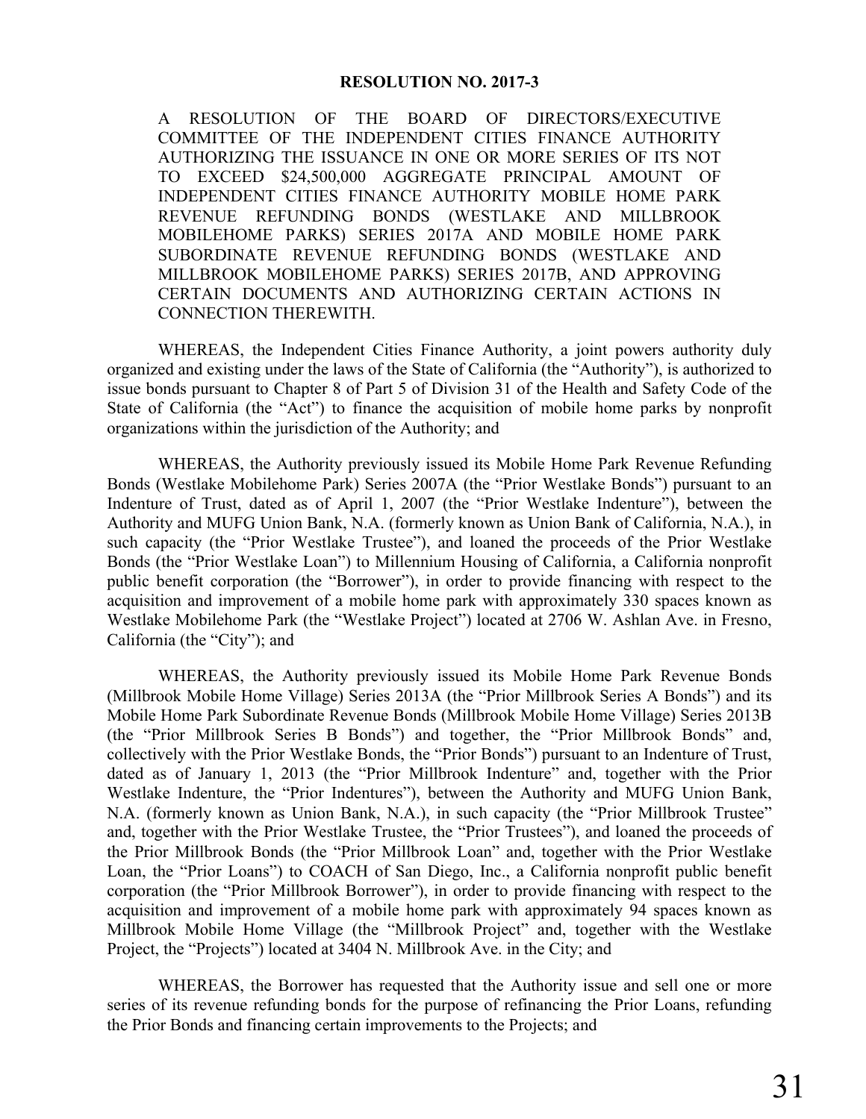### **RESOLUTION NO. 2017-3**

A RESOLUTION OF THE BOARD OF DIRECTORS/EXECUTIVE COMMITTEE OF THE INDEPENDENT CITIES FINANCE AUTHORITY AUTHORIZING THE ISSUANCE IN ONE OR MORE SERIES OF ITS NOT TO EXCEED \$24,500,000 AGGREGATE PRINCIPAL AMOUNT OF INDEPENDENT CITIES FINANCE AUTHORITY MOBILE HOME PARK REVENUE REFUNDING BONDS (WESTLAKE AND MILLBROOK MOBILEHOME PARKS) SERIES 2017A AND MOBILE HOME PARK SUBORDINATE REVENUE REFUNDING BONDS (WESTLAKE AND MILLBROOK MOBILEHOME PARKS) SERIES 2017B, AND APPROVING CERTAIN DOCUMENTS AND AUTHORIZING CERTAIN ACTIONS IN CONNECTION THEREWITH.

WHEREAS, the Independent Cities Finance Authority, a joint powers authority duly organized and existing under the laws of the State of California (the "Authority"), is authorized to issue bonds pursuant to Chapter 8 of Part 5 of Division 31 of the Health and Safety Code of the State of California (the "Act") to finance the acquisition of mobile home parks by nonprofit organizations within the jurisdiction of the Authority; and

WHEREAS, the Authority previously issued its Mobile Home Park Revenue Refunding Bonds (Westlake Mobilehome Park) Series 2007A (the "Prior Westlake Bonds") pursuant to an Indenture of Trust, dated as of April 1, 2007 (the "Prior Westlake Indenture"), between the Authority and MUFG Union Bank, N.A. (formerly known as Union Bank of California, N.A.), in such capacity (the "Prior Westlake Trustee"), and loaned the proceeds of the Prior Westlake Bonds (the "Prior Westlake Loan") to Millennium Housing of California, a California nonprofit public benefit corporation (the "Borrower"), in order to provide financing with respect to the acquisition and improvement of a mobile home park with approximately 330 spaces known as Westlake Mobilehome Park (the "Westlake Project") located at 2706 W. Ashlan Ave. in Fresno, California (the "City"); and

WHEREAS, the Authority previously issued its Mobile Home Park Revenue Bonds (Millbrook Mobile Home Village) Series 2013A (the "Prior Millbrook Series A Bonds") and its Mobile Home Park Subordinate Revenue Bonds (Millbrook Mobile Home Village) Series 2013B (the "Prior Millbrook Series B Bonds") and together, the "Prior Millbrook Bonds" and, collectively with the Prior Westlake Bonds, the "Prior Bonds") pursuant to an Indenture of Trust, dated as of January 1, 2013 (the "Prior Millbrook Indenture" and, together with the Prior Westlake Indenture, the "Prior Indentures"), between the Authority and MUFG Union Bank, N.A. (formerly known as Union Bank, N.A.), in such capacity (the "Prior Millbrook Trustee" and, together with the Prior Westlake Trustee, the "Prior Trustees"), and loaned the proceeds of the Prior Millbrook Bonds (the "Prior Millbrook Loan" and, together with the Prior Westlake Loan, the "Prior Loans") to COACH of San Diego, Inc., a California nonprofit public benefit corporation (the "Prior Millbrook Borrower"), in order to provide financing with respect to the acquisition and improvement of a mobile home park with approximately 94 spaces known as Millbrook Mobile Home Village (the "Millbrook Project" and, together with the Westlake Project, the "Projects") located at 3404 N. Millbrook Ave. in the City; and

WHEREAS, the Borrower has requested that the Authority issue and sell one or more series of its revenue refunding bonds for the purpose of refinancing the Prior Loans, refunding the Prior Bonds and financing certain improvements to the Projects; and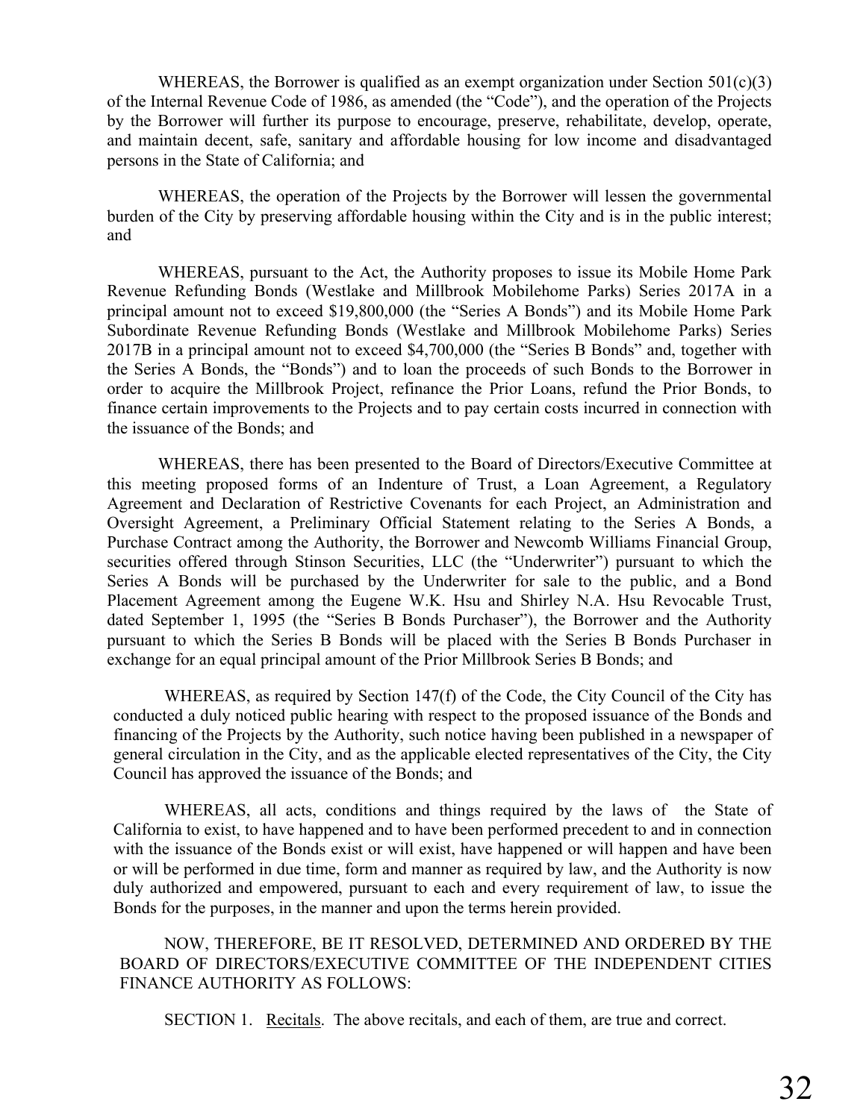WHEREAS, the Borrower is qualified as an exempt organization under Section  $501(c)(3)$ of the Internal Revenue Code of 1986, as amended (the "Code"), and the operation of the Projects by the Borrower will further its purpose to encourage, preserve, rehabilitate, develop, operate, and maintain decent, safe, sanitary and affordable housing for low income and disadvantaged persons in the State of California; and

WHEREAS, the operation of the Projects by the Borrower will lessen the governmental burden of the City by preserving affordable housing within the City and is in the public interest; and

WHEREAS, pursuant to the Act, the Authority proposes to issue its Mobile Home Park Revenue Refunding Bonds (Westlake and Millbrook Mobilehome Parks) Series 2017A in a principal amount not to exceed \$19,800,000 (the "Series A Bonds") and its Mobile Home Park Subordinate Revenue Refunding Bonds (Westlake and Millbrook Mobilehome Parks) Series 2017B in a principal amount not to exceed \$4,700,000 (the "Series B Bonds" and, together with the Series A Bonds, the "Bonds") and to loan the proceeds of such Bonds to the Borrower in order to acquire the Millbrook Project, refinance the Prior Loans, refund the Prior Bonds, to finance certain improvements to the Projects and to pay certain costs incurred in connection with the issuance of the Bonds; and

WHEREAS, there has been presented to the Board of Directors/Executive Committee at this meeting proposed forms of an Indenture of Trust, a Loan Agreement, a Regulatory Agreement and Declaration of Restrictive Covenants for each Project, an Administration and Oversight Agreement, a Preliminary Official Statement relating to the Series A Bonds, a Purchase Contract among the Authority, the Borrower and Newcomb Williams Financial Group, securities offered through Stinson Securities, LLC (the "Underwriter") pursuant to which the Series A Bonds will be purchased by the Underwriter for sale to the public, and a Bond Placement Agreement among the Eugene W.K. Hsu and Shirley N.A. Hsu Revocable Trust, dated September 1, 1995 (the "Series B Bonds Purchaser"), the Borrower and the Authority pursuant to which the Series B Bonds will be placed with the Series B Bonds Purchaser in exchange for an equal principal amount of the Prior Millbrook Series B Bonds; and

WHEREAS, as required by Section 147(f) of the Code, the City Council of the City has conducted a duly noticed public hearing with respect to the proposed issuance of the Bonds and financing of the Projects by the Authority, such notice having been published in a newspaper of general circulation in the City, and as the applicable elected representatives of the City, the City Council has approved the issuance of the Bonds; and

WHEREAS, all acts, conditions and things required by the laws of the State of California to exist, to have happened and to have been performed precedent to and in connection with the issuance of the Bonds exist or will exist, have happened or will happen and have been or will be performed in due time, form and manner as required by law, and the Authority is now duly authorized and empowered, pursuant to each and every requirement of law, to issue the Bonds for the purposes, in the manner and upon the terms herein provided.

NOW, THEREFORE, BE IT RESOLVED, DETERMINED AND ORDERED BY THE BOARD OF DIRECTORS/EXECUTIVE COMMITTEE OF THE INDEPENDENT CITIES FINANCE AUTHORITY AS FOLLOWS:

SECTION 1. Recitals. The above recitals, and each of them, are true and correct.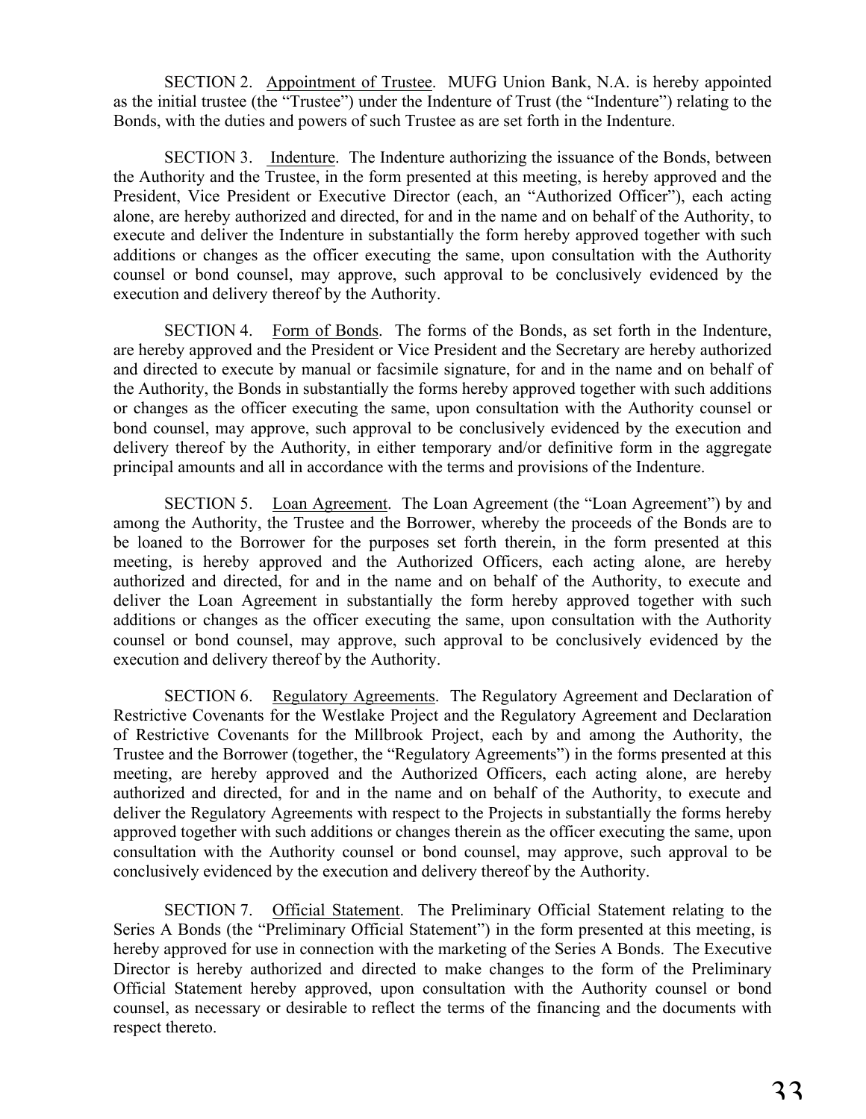SECTION 2. Appointment of Trustee. MUFG Union Bank, N.A. is hereby appointed as the initial trustee (the "Trustee") under the Indenture of Trust (the "Indenture") relating to the Bonds, with the duties and powers of such Trustee as are set forth in the Indenture.

SECTION 3. Indenture. The Indenture authorizing the issuance of the Bonds, between the Authority and the Trustee, in the form presented at this meeting, is hereby approved and the President, Vice President or Executive Director (each, an "Authorized Officer"), each acting alone, are hereby authorized and directed, for and in the name and on behalf of the Authority, to execute and deliver the Indenture in substantially the form hereby approved together with such additions or changes as the officer executing the same, upon consultation with the Authority counsel or bond counsel, may approve, such approval to be conclusively evidenced by the execution and delivery thereof by the Authority.

SECTION 4. Form of Bonds. The forms of the Bonds, as set forth in the Indenture, are hereby approved and the President or Vice President and the Secretary are hereby authorized and directed to execute by manual or facsimile signature, for and in the name and on behalf of the Authority, the Bonds in substantially the forms hereby approved together with such additions or changes as the officer executing the same, upon consultation with the Authority counsel or bond counsel, may approve, such approval to be conclusively evidenced by the execution and delivery thereof by the Authority, in either temporary and/or definitive form in the aggregate principal amounts and all in accordance with the terms and provisions of the Indenture.

SECTION 5. Loan Agreement. The Loan Agreement (the "Loan Agreement") by and among the Authority, the Trustee and the Borrower, whereby the proceeds of the Bonds are to be loaned to the Borrower for the purposes set forth therein, in the form presented at this meeting, is hereby approved and the Authorized Officers, each acting alone, are hereby authorized and directed, for and in the name and on behalf of the Authority, to execute and deliver the Loan Agreement in substantially the form hereby approved together with such additions or changes as the officer executing the same, upon consultation with the Authority counsel or bond counsel, may approve, such approval to be conclusively evidenced by the execution and delivery thereof by the Authority.

SECTION 6. Regulatory Agreements. The Regulatory Agreement and Declaration of Restrictive Covenants for the Westlake Project and the Regulatory Agreement and Declaration of Restrictive Covenants for the Millbrook Project, each by and among the Authority, the Trustee and the Borrower (together, the "Regulatory Agreements") in the forms presented at this meeting, are hereby approved and the Authorized Officers, each acting alone, are hereby authorized and directed, for and in the name and on behalf of the Authority, to execute and deliver the Regulatory Agreements with respect to the Projects in substantially the forms hereby approved together with such additions or changes therein as the officer executing the same, upon consultation with the Authority counsel or bond counsel, may approve, such approval to be conclusively evidenced by the execution and delivery thereof by the Authority.

SECTION 7. Official Statement. The Preliminary Official Statement relating to the Series A Bonds (the "Preliminary Official Statement") in the form presented at this meeting, is hereby approved for use in connection with the marketing of the Series A Bonds. The Executive Director is hereby authorized and directed to make changes to the form of the Preliminary Official Statement hereby approved, upon consultation with the Authority counsel or bond counsel, as necessary or desirable to reflect the terms of the financing and the documents with respect thereto.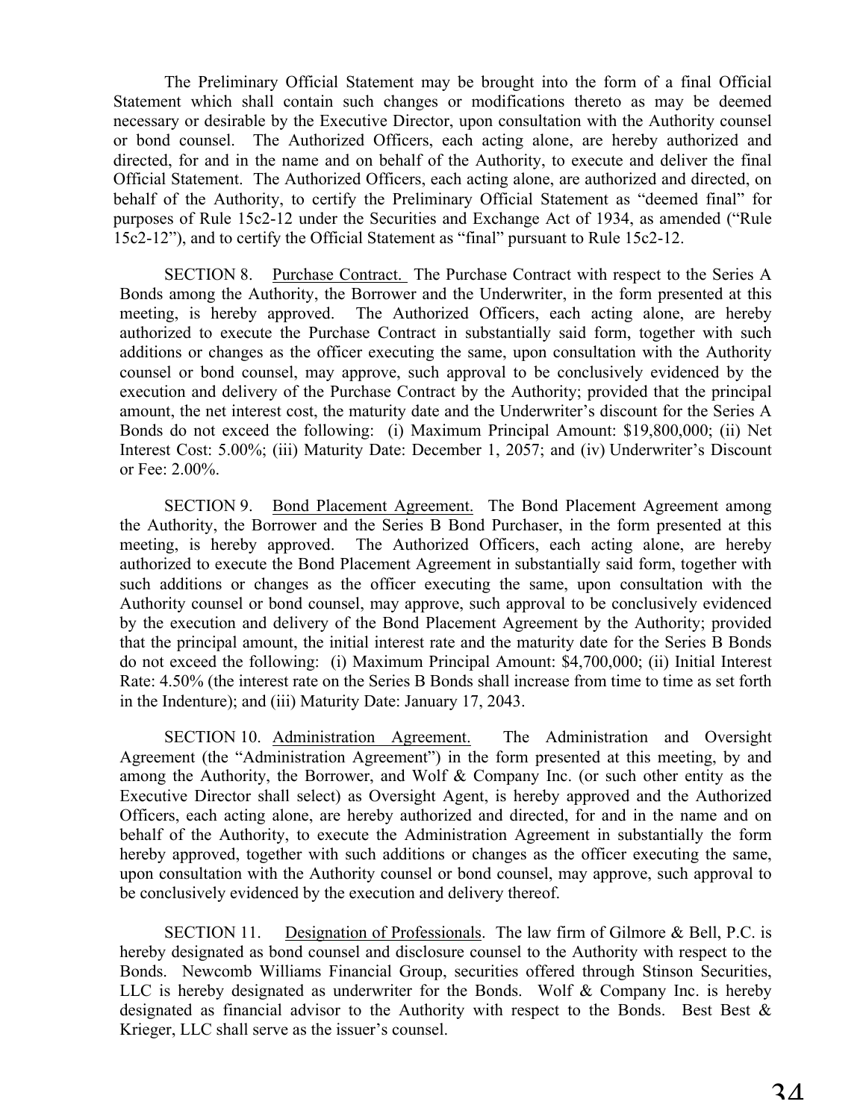The Preliminary Official Statement may be brought into the form of a final Official Statement which shall contain such changes or modifications thereto as may be deemed necessary or desirable by the Executive Director, upon consultation with the Authority counsel or bond counsel. The Authorized Officers, each acting alone, are hereby authorized and directed, for and in the name and on behalf of the Authority, to execute and deliver the final Official Statement. The Authorized Officers, each acting alone, are authorized and directed, on behalf of the Authority, to certify the Preliminary Official Statement as "deemed final" for purposes of Rule 15c2-12 under the Securities and Exchange Act of 1934, as amended ("Rule 15c2-12"), and to certify the Official Statement as "final" pursuant to Rule 15c2-12.

SECTION 8. Purchase Contract. The Purchase Contract with respect to the Series A Bonds among the Authority, the Borrower and the Underwriter, in the form presented at this meeting, is hereby approved. The Authorized Officers, each acting alone, are hereby authorized to execute the Purchase Contract in substantially said form, together with such additions or changes as the officer executing the same, upon consultation with the Authority counsel or bond counsel, may approve, such approval to be conclusively evidenced by the execution and delivery of the Purchase Contract by the Authority; provided that the principal amount, the net interest cost, the maturity date and the Underwriter's discount for the Series A Bonds do not exceed the following: (i) Maximum Principal Amount: \$19,800,000; (ii) Net Interest Cost: 5.00%; (iii) Maturity Date: December 1, 2057; and (iv) Underwriter's Discount or Fee: 2.00%.

SECTION 9. Bond Placement Agreement. The Bond Placement Agreement among the Authority, the Borrower and the Series B Bond Purchaser, in the form presented at this meeting, is hereby approved. The Authorized Officers, each acting alone, are hereby authorized to execute the Bond Placement Agreement in substantially said form, together with such additions or changes as the officer executing the same, upon consultation with the Authority counsel or bond counsel, may approve, such approval to be conclusively evidenced by the execution and delivery of the Bond Placement Agreement by the Authority; provided that the principal amount, the initial interest rate and the maturity date for the Series B Bonds do not exceed the following: (i) Maximum Principal Amount: \$4,700,000; (ii) Initial Interest Rate: 4.50% (the interest rate on the Series B Bonds shall increase from time to time as set forth in the Indenture); and (iii) Maturity Date: January 17, 2043.

SECTION 10. Administration Agreement. The Administration and Oversight Agreement (the "Administration Agreement") in the form presented at this meeting, by and among the Authority, the Borrower, and Wolf & Company Inc. (or such other entity as the Executive Director shall select) as Oversight Agent, is hereby approved and the Authorized Officers, each acting alone, are hereby authorized and directed, for and in the name and on behalf of the Authority, to execute the Administration Agreement in substantially the form hereby approved, together with such additions or changes as the officer executing the same, upon consultation with the Authority counsel or bond counsel, may approve, such approval to be conclusively evidenced by the execution and delivery thereof.

SECTION 11. Designation of Professionals. The law firm of Gilmore & Bell, P.C. is hereby designated as bond counsel and disclosure counsel to the Authority with respect to the Bonds. Newcomb Williams Financial Group, securities offered through Stinson Securities, LLC is hereby designated as underwriter for the Bonds. Wolf & Company Inc. is hereby designated as financial advisor to the Authority with respect to the Bonds. Best Best & Krieger, LLC shall serve as the issuer's counsel.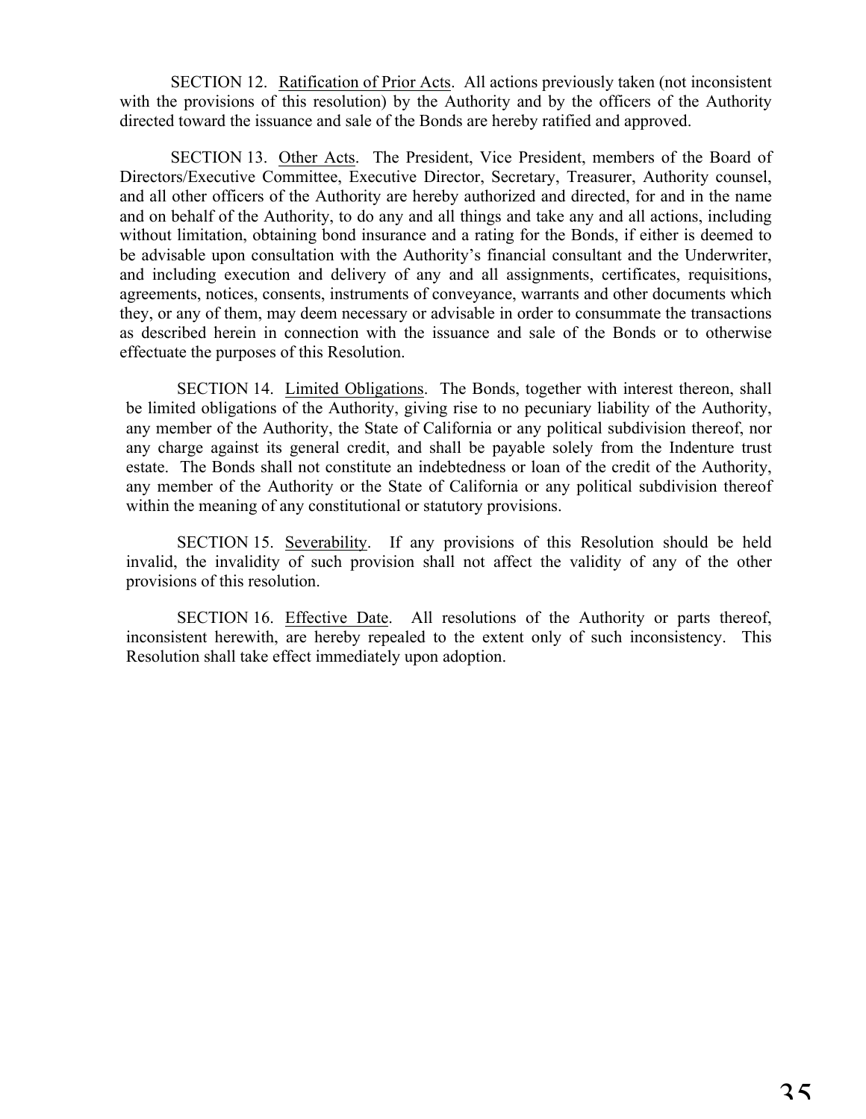SECTION 12. Ratification of Prior Acts. All actions previously taken (not inconsistent with the provisions of this resolution) by the Authority and by the officers of the Authority directed toward the issuance and sale of the Bonds are hereby ratified and approved.

SECTION 13. Other Acts. The President, Vice President, members of the Board of Directors/Executive Committee, Executive Director, Secretary, Treasurer, Authority counsel, and all other officers of the Authority are hereby authorized and directed, for and in the name and on behalf of the Authority, to do any and all things and take any and all actions, including without limitation, obtaining bond insurance and a rating for the Bonds, if either is deemed to be advisable upon consultation with the Authority's financial consultant and the Underwriter, and including execution and delivery of any and all assignments, certificates, requisitions, agreements, notices, consents, instruments of conveyance, warrants and other documents which they, or any of them, may deem necessary or advisable in order to consummate the transactions as described herein in connection with the issuance and sale of the Bonds or to otherwise effectuate the purposes of this Resolution.

SECTION 14. Limited Obligations. The Bonds, together with interest thereon, shall be limited obligations of the Authority, giving rise to no pecuniary liability of the Authority, any member of the Authority, the State of California or any political subdivision thereof, nor any charge against its general credit, and shall be payable solely from the Indenture trust estate. The Bonds shall not constitute an indebtedness or loan of the credit of the Authority, any member of the Authority or the State of California or any political subdivision thereof within the meaning of any constitutional or statutory provisions.

SECTION 15. Severability. If any provisions of this Resolution should be held invalid, the invalidity of such provision shall not affect the validity of any of the other provisions of this resolution.

SECTION 16. Effective Date. All resolutions of the Authority or parts thereof, inconsistent herewith, are hereby repealed to the extent only of such inconsistency. This Resolution shall take effect immediately upon adoption.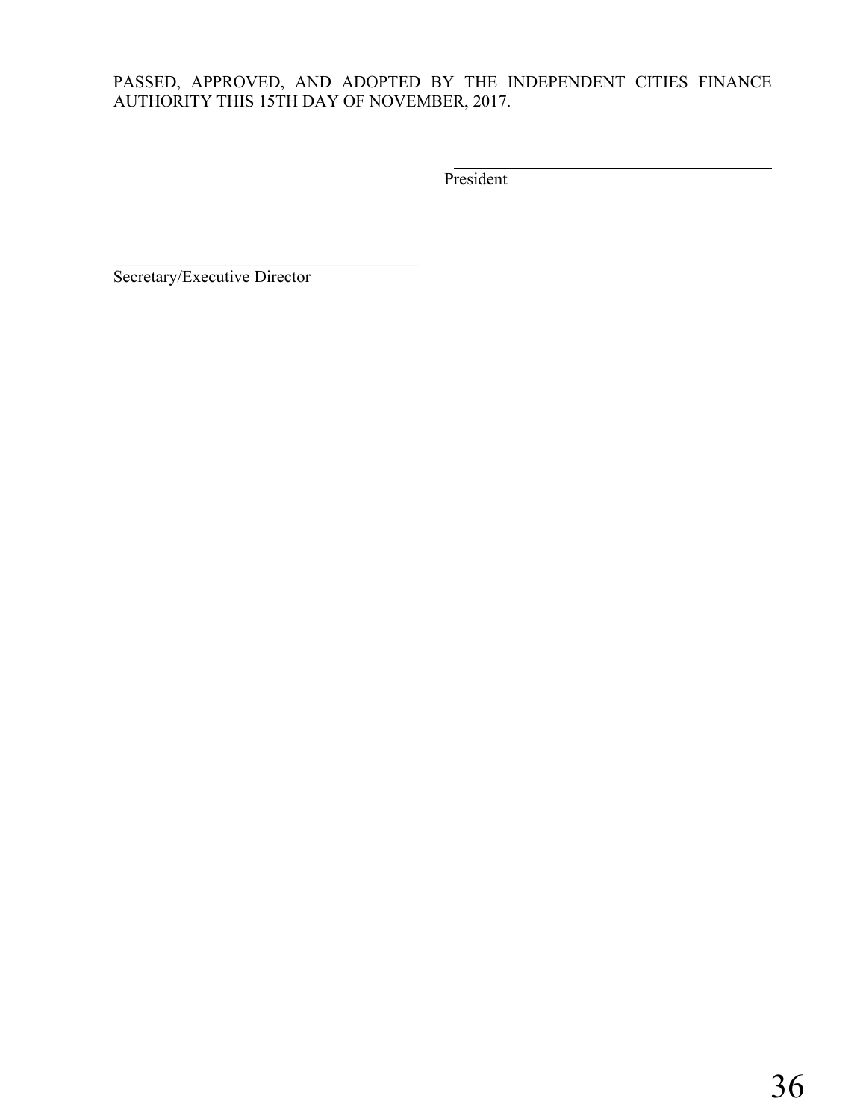# PASSED, APPROVED, AND ADOPTED BY THE INDEPENDENT CITIES FINANCE AUTHORITY THIS 15TH DAY OF NOVEMBER, 2017.

President

Secretary/Executive Director

 $\mathcal{L}_\text{max}$  , and the set of the set of the set of the set of the set of the set of the set of the set of the set of the set of the set of the set of the set of the set of the set of the set of the set of the set of the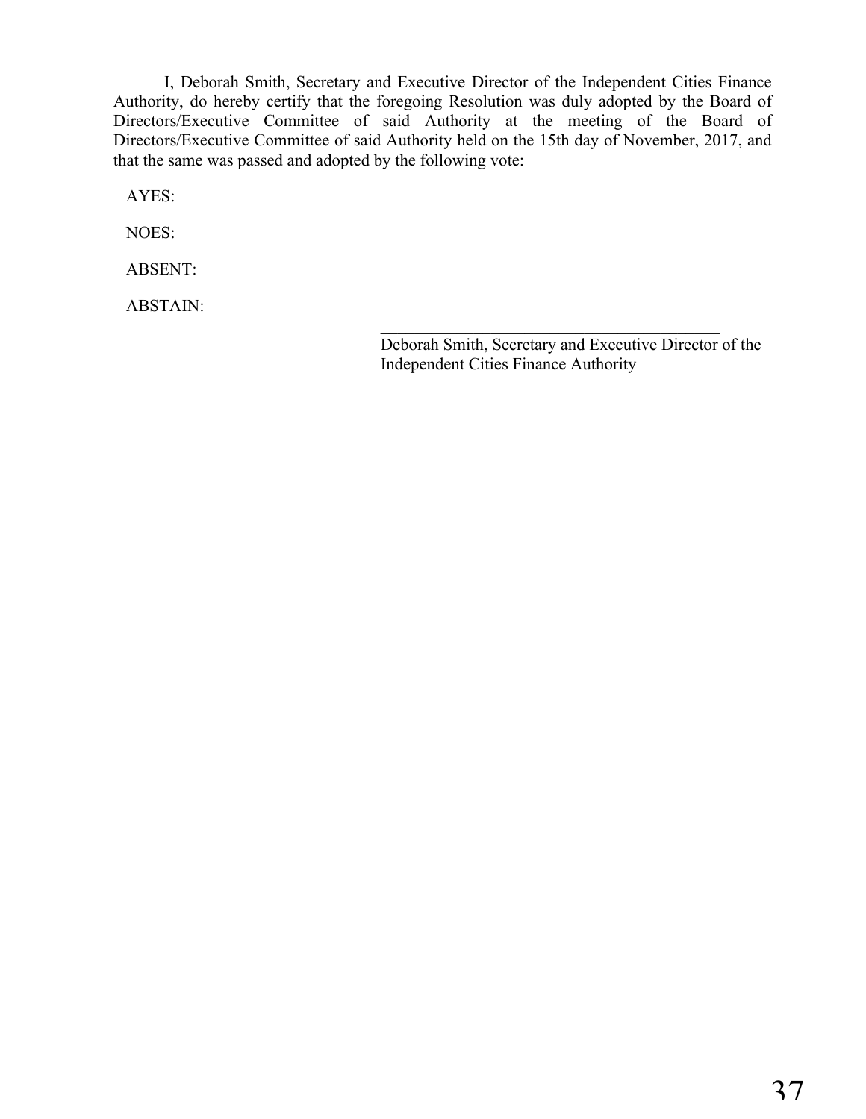I, Deborah Smith, Secretary and Executive Director of the Independent Cities Finance Authority, do hereby certify that the foregoing Resolution was duly adopted by the Board of Directors/Executive Committee of said Authority at the meeting of the Board of Directors/Executive Committee of said Authority held on the 15th day of November, 2017, and that the same was passed and adopted by the following vote:

AYES:

NOES:

ABSENT:

ABSTAIN:

Deborah Smith, Secretary and Executive Director of the Independent Cities Finance Authority

 $\mathcal{L}_\text{max}$  and  $\mathcal{L}_\text{max}$  and  $\mathcal{L}_\text{max}$  and  $\mathcal{L}_\text{max}$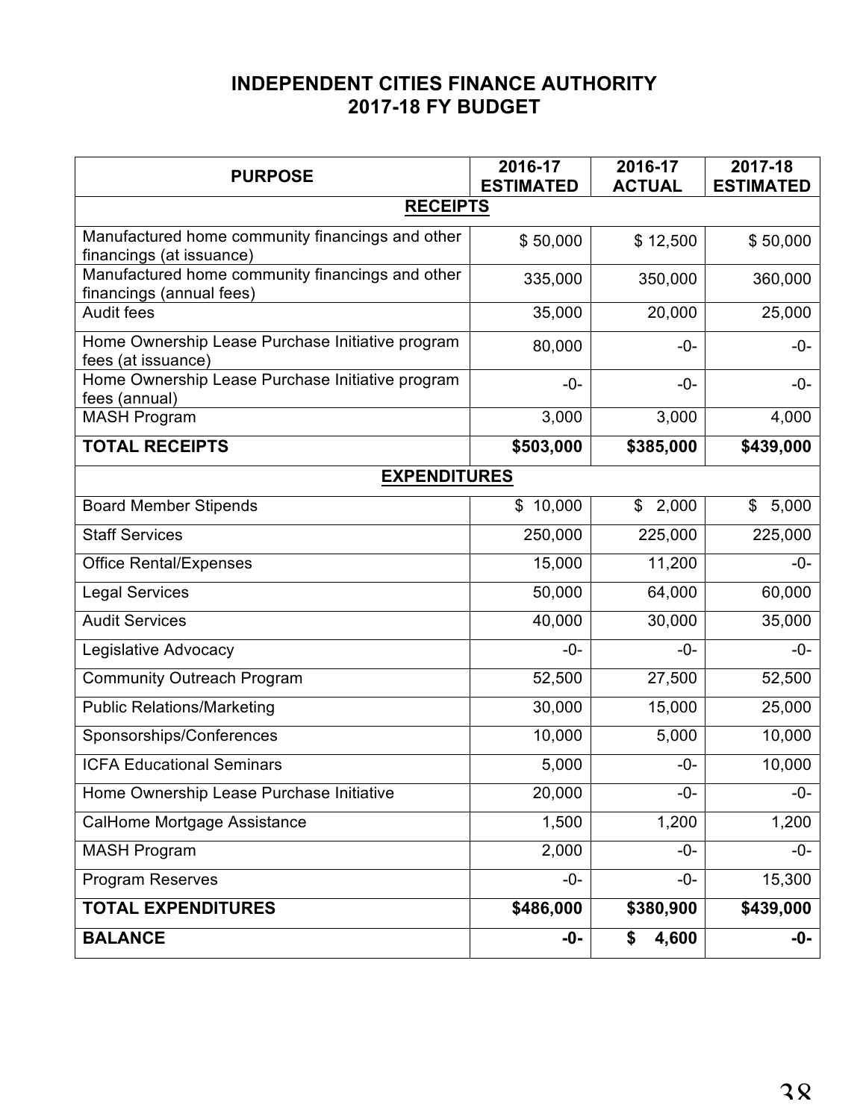# **INDEPENDENT CITIES FINANCE AUTHORITY 2017-18 FY BUDGET**

| <b>PURPOSE</b>                                                               | 2016-17<br><b>ESTIMATED</b> | 2016-17<br><b>ACTUAL</b> | 2017-18<br><b>ESTIMATED</b> |  |
|------------------------------------------------------------------------------|-----------------------------|--------------------------|-----------------------------|--|
| <b>RECEIPTS</b>                                                              |                             |                          |                             |  |
| Manufactured home community financings and other<br>financings (at issuance) | \$50,000                    | \$12,500                 | \$50,000                    |  |
| Manufactured home community financings and other<br>financings (annual fees) | 335,000                     | 350,000                  | 360,000                     |  |
| <b>Audit fees</b>                                                            | 35,000                      | 20,000                   | 25,000                      |  |
| Home Ownership Lease Purchase Initiative program<br>fees (at issuance)       | 80,000                      | $-0-$                    | $-0-$                       |  |
| Home Ownership Lease Purchase Initiative program<br>fees (annual)            | $-0-$                       | $-0-$                    | $-0-$                       |  |
| <b>MASH Program</b>                                                          | 3,000                       | 3,000                    | 4,000                       |  |
| <b>TOTAL RECEIPTS</b>                                                        | \$503,000                   | \$385,000                | \$439,000                   |  |
| <b>EXPENDITURES</b>                                                          |                             |                          |                             |  |
| <b>Board Member Stipends</b>                                                 | 10,000<br>\$                | 2,000<br>\$              | \$<br>5,000                 |  |
| <b>Staff Services</b>                                                        | 250,000                     | 225,000                  | 225,000                     |  |
| <b>Office Rental/Expenses</b>                                                | 15,000                      | 11,200                   | $-0-$                       |  |
| <b>Legal Services</b>                                                        | 50,000                      | 64,000                   | 60,000                      |  |
| <b>Audit Services</b>                                                        | 40,000                      | 30,000                   | 35,000                      |  |
| Legislative Advocacy                                                         | $-0-$                       | $-0-$                    | $-0-$                       |  |
| <b>Community Outreach Program</b>                                            | 52,500                      | 27,500                   | 52,500                      |  |
| <b>Public Relations/Marketing</b>                                            | 30,000                      | 15,000                   | 25,000                      |  |
| Sponsorships/Conferences                                                     | 10,000                      | 5,000                    | 10,000                      |  |
| <b>ICFA Educational Seminars</b>                                             | 5,000                       | $-0-$                    | 10,000                      |  |
| Home Ownership Lease Purchase Initiative                                     | 20,000                      | $-0-$                    | -U-                         |  |
| CalHome Mortgage Assistance                                                  | 1,500                       | 1,200                    | 1,200                       |  |
| <b>MASH Program</b>                                                          | 2,000                       | $-0-$                    | $-0-$                       |  |
| <b>Program Reserves</b>                                                      | $-0-$                       | $-0-$                    | 15,300                      |  |
| <b>TOTAL EXPENDITURES</b>                                                    | \$486,000                   | \$380,900                | \$439,000                   |  |
| <b>BALANCE</b>                                                               | $-0-$                       | 4,600<br>\$              | -0-                         |  |